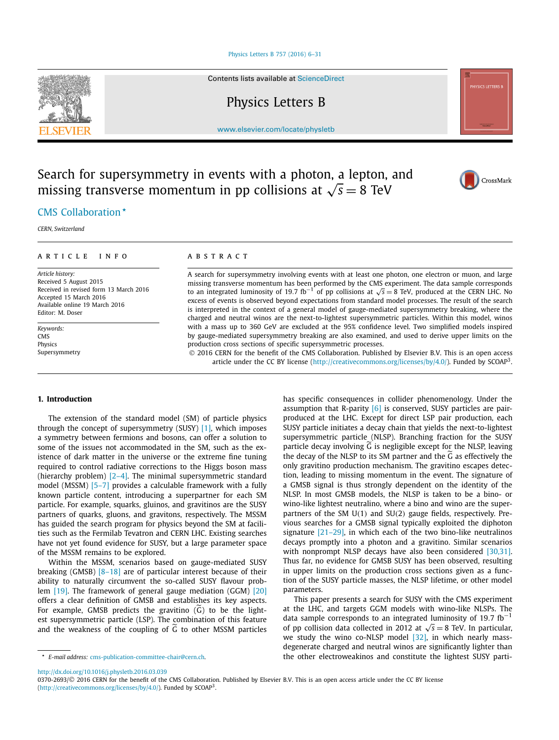#### [Physics Letters B 757 \(2016\) 6–31](http://dx.doi.org/10.1016/j.physletb.2016.03.039)

Contents lists available at [ScienceDirect](http://www.ScienceDirect.com/)

Physics Letters B

[www.elsevier.com/locate/physletb](http://www.elsevier.com/locate/physletb)



CrossMark

# Search for supersymmetry in events with a photon, a lepton, and missing transverse momentum in pp collisions at  $\sqrt{s} = 8$  TeV

## .CMS [Collaboration](#page-10-0) *-*

*CERN, Switzerland*

### A R T I C L E I N F O A B S T R A C T

*Article history:* Received 5 August 2015 Received in revised form 13 March 2016 Accepted 15 March 2016 Available online 19 March 2016 Editor: M. Doser

*Keywords:* CMS Physics Supersymmetry

A search for supersymmetry involving events with at least one photon, one electron or muon, and large missing transverse momentum has been performed by the CMS experiment. The data sample corresponds to an integrated luminosity of <sup>19</sup>*.*7 fb−<sup>1</sup> of pp collisions at <sup>√</sup>*<sup>s</sup>* <sup>=</sup> 8 TeV, produced at the CERN LHC. No excess of events is observed beyond expectations from standard model processes. The result of the search is interpreted in the context of a general model of gauge-mediated supersymmetry breaking, where the charged and neutral winos are the next-to-lightest supersymmetric particles. Within this model, winos with a mass up to 360 GeV are excluded at the 95% confidence level. Two simplified models inspired by gauge-mediated supersymmetry breaking are also examined, and used to derive upper limits on the production cross sections of specific supersymmetric processes.

© 2016 CERN for the benefit of the CMS Collaboration. Published by Elsevier B.V. This is an open access article under the CC BY license [\(http://creativecommons.org/licenses/by/4.0/\)](http://creativecommons.org/licenses/by/4.0/). Funded by SCOAP3.

### **1. Introduction**

The extension of the standard model (SM) of particle physics through the concept of supersymmetry (SUSY) [\[1\],](#page-8-0) which imposes a symmetry between fermions and bosons, can offer a solution to some of the issues not accommodated in the SM, such as the existence of dark matter in the universe or the extreme fine tuning required to control radiative corrections to the Higgs boson mass (hierarchy problem)  $[2-4]$ . The minimal supersymmetric standard model (MSSM) [\[5–7\]](#page-8-0) provides a calculable framework with a fully known particle content, introducing a superpartner for each SM particle. For example, squarks, gluinos, and gravitinos are the SUSY partners of quarks, gluons, and gravitons, respectively. The MSSM has guided the search program for physics beyond the SM at facilities such as the Fermilab Tevatron and CERN LHC. Existing searches have not yet found evidence for SUSY, but a large parameter space of the MSSM remains to be explored.

Within the MSSM, scenarios based on gauge-mediated SUSY breaking (GMSB) [\[8–18\]](#page-8-0) are of particular interest because of their ability to naturally circumvent the so-called SUSY flavour prob-lem [\[19\].](#page-8-0) The framework of general gauge mediation (GGM) [\[20\]](#page-8-0) offers a clear definition of GMSB and establishes its key aspects. For example, GMSB predicts the gravitino  $(G)$  to be the lightest supersymmetric particle (LSP). The combination of this feature and the weakness of the coupling of G to other MSSM particles

has specific consequences in collider phenomenology. Under the assumption that R-parity  $[6]$  is conserved, SUSY particles are pairproduced at the LHC. Except for direct LSP pair production, each SUSY particle initiates a decay chain that yields the next-to-lightest supersymmetric particle (NLSP). Branching fraction for the SUSY particle decay involving G is negligible except for the NLSP, leaving the decay of the NLSP to its SM partner and the G as effectively the only gravitino production mechanism. The gravitino escapes detection, leading to missing momentum in the event. The signature of a GMSB signal is thus strongly dependent on the identity of the NLSP. In most GMSB models, the NLSP is taken to be a bino- or wino-like lightest neutralino, where a bino and wino are the superpartners of the SM U*(*1*)* and SU*(*2*)* gauge fields, respectively. Previous searches for a GMSB signal typically exploited the diphoton signature  $[21-29]$ , in which each of the two bino-like neutralinos decays promptly into a photon and a gravitino. Similar scenarios with nonprompt NLSP decays have also been considered [\[30,31\].](#page-9-0) Thus far, no evidence for GMSB SUSY has been observed, resulting in upper limits on the production cross sections given as a function of the SUSY particle masses, the NLSP lifetime, or other model parameters.

This paper presents a search for SUSY with the CMS experiment at the LHC, and targets GGM models with wino-like NLSPs. The data sample corresponds to an integrated luminosity of 19*.*7 fb−<sup>1</sup> of pp collision data collected in 2012 at  $\sqrt{s} = 8$  TeV. In particular, we study the wino co-NLSP model  $[32]$ , in which nearly massdegenerate charged and neutral winos are significantly lighter than the other electroweakinos and constitute the lightest SUSY parti-

<http://dx.doi.org/10.1016/j.physletb.2016.03.039>



*<sup>-</sup> E-mail address:* [cms-publication-committee-chair@cern.ch](mailto:cms-publication-committee-chair@cern.ch).

<sup>0370-2693/© 2016</sup> CERN for the benefit of the CMS Collaboration. Published by Elsevier B.V. This is an open access article under the CC BY license [\(http://creativecommons.org/licenses/by/4.0/\)](http://creativecommons.org/licenses/by/4.0/). Funded by SCOAP3.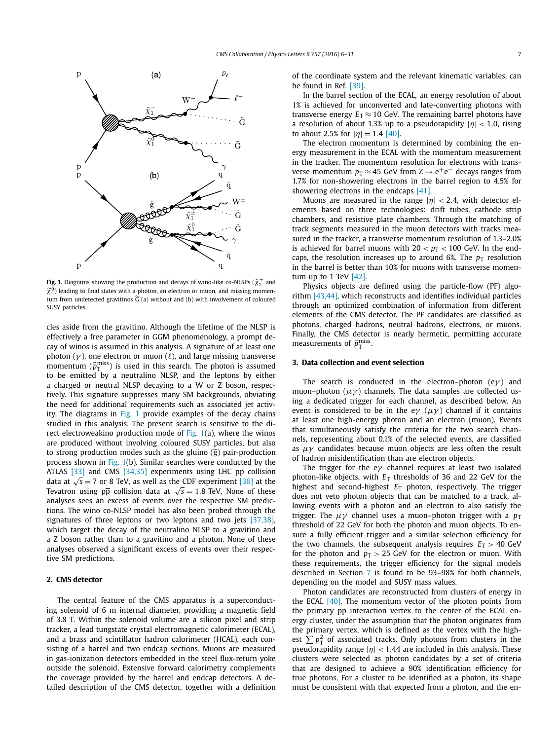<span id="page-1-0"></span>

**Fig. 1.** Diagrams showing the production and decays of wino-like co-NLSPs ( $\widetilde{\chi}^{\pm}_1$  and  $\widetilde{\chi}_1^0$ ) leading to final states with a photon, an electron or muon, and missing momentum from undetected gravitinos G (a) without and (b) with involvement of coloured SUSY particles.

cles aside from the gravitino. Although the lifetime of the NLSP is effectively a free parameter in GGM phenomenology, a prompt decay of winos is assumed in this analysis. A signature of at least one photon  $(\gamma)$ , one electron or muon  $(\ell)$ , and large missing transverse momentum  $(\vec{p}_{\text{T}}^{\text{miss}})$  is used in this search. The photon is assumed to be emitted by a neutralino NLSP, and the leptons by either a charged or neutral NLSP decaying to a W or Z boson, respectively. This signature suppresses many SM backgrounds, obviating the need for additional requirements such as associated jet activity. The diagrams in Fig. 1 provide examples of the decay chains studied in this analysis. The present search is sensitive to the direct electroweakino production mode of Fig. 1(a), where the winos are produced without involving coloured SUSY particles, but also to strong production modes such as the gluino  $(\tilde{g})$  pair-production process shown in Fig. 1(b). Similar searches were conducted by the ATLAS [\[33\]](#page-9-0) and CMS [\[34,35\]](#page-9-0) experiments using LHC pp collision data at  $\sqrt{s}$  = 7 or 8 TeV, as well as the CDF experiment [\[36\]](#page-9-0) at the Tevatron using pp collision data at  $\sqrt{s} = 1.8$  TeV. None of these analyses sees an excess of events over the respective SM predictions. The wino co-NLSP model has also been probed through the signatures of three leptons or two leptons and two jets [\[37,38\],](#page-9-0) which target the decay of the neutralino NLSP to a gravitino and a Z boson rather than to a gravitino and a photon. None of these analyses observed a significant excess of events over their respective SM predictions.

### **2. CMS detector**

The central feature of the CMS apparatus is a superconducting solenoid of 6 m internal diameter, providing a magnetic field of 3.8 T. Within the solenoid volume are a silicon pixel and strip tracker, a lead tungstate crystal electromagnetic calorimeter (ECAL), and a brass and scintillator hadron calorimeter (HCAL), each consisting of a barrel and two endcap sections. Muons are measured in gas-ionization detectors embedded in the steel flux-return yoke outside the solenoid. Extensive forward calorimetry complements the coverage provided by the barrel and endcap detectors. A detailed description of the CMS detector, together with a definition of the coordinate system and the relevant kinematic variables, can be found in Ref. [\[39\].](#page-9-0)

In the barrel section of the ECAL, an energy resolution of about 1% is achieved for unconverted and late-converting photons with transverse energy  $E_T \approx 10$  GeV. The remaining barrel photons have <sup>a</sup> resolution of about 1.3% up to <sup>a</sup> pseudorapidity |*η*| *<* <sup>1</sup>*.*0, rising to about 2.5% for  $|\eta| = 1.4$  [\[40\].](#page-9-0)

The electron momentum is determined by combining the energy measurement in the ECAL with the momentum measurement in the tracker. The momentum resolution for electrons with transverse momentum  $p_T \approx 45$  GeV from  $Z \rightarrow e^+e^-$  decays ranges from 1.7% for non-showering electrons in the barrel region to 4.5% for showering electrons in the endcaps [\[41\].](#page-9-0)

Muons are measured in the range |*η*| *<* <sup>2</sup>*.*4, with detector elements based on three technologies: drift tubes, cathode strip chambers, and resistive plate chambers. Through the matching of track segments measured in the muon detectors with tracks measured in the tracker, a transverse momentum resolution of 1.3–2.0% is achieved for barrel muons with  $20 < p_T < 100$  GeV. In the endcaps, the resolution increases up to around 6%. The  $p<sub>T</sub>$  resolution in the barrel is better than 10% for muons with transverse momentum up to 1 TeV [\[42\].](#page-9-0)

Physics objects are defined using the particle-flow (PF) algorithm [\[43,44\],](#page-9-0) which reconstructs and identifies individual particles through an optimized combination of information from different elements of the CMS detector. The PF candidates are classified as photons, charged hadrons, neutral hadrons, electrons, or muons. Finally, the CMS detector is nearly hermetic, permitting accurate measurements of  $\vec{p}_{\rm T}^{\rm miss}$ .

### **3. Data collection and event selection**

The search is conducted in the electron–photon (e*γ* ) and muon–photon ( $\mu\gamma$ ) channels. The data samples are collected using a dedicated trigger for each channel, as described below. An event is considered to be in the e $\gamma$  ( $\mu\gamma$ ) channel if it contains at least one high-energy photon and an electron (muon). Events that simultaneously satisfy the criteria for the two search channels, representing about 0.1% of the selected events, are classified as *μγ* candidates because muon objects are less often the result of hadron misidentification than are electron objects.

The trigger for the e*γ* channel requires at least two isolated photon-like objects, with  $E_T$  thresholds of 36 and 22 GeV for the highest and second-highest  $E_T$  photon, respectively. The trigger does not veto photon objects that can be matched to a track, allowing events with a photon and an electron to also satisfy the trigger. The  $\mu\gamma$  channel uses a muon-photon trigger with a  $p_T$ threshold of 22 GeV for both the photon and muon objects. To ensure a fully efficient trigger and a similar selection efficiency for the two channels, the subsequent analysis requires  $E_T > 40$  GeV for the photon and  $p_T > 25$  GeV for the electron or muon. With these requirements, the trigger efficiency for the signal models described in Section [7](#page-5-0) is found to be 93–98% for both channels, depending on the model and SUSY mass values.

Photon candidates are reconstructed from clusters of energy in the ECAL [\[40\].](#page-9-0) The momentum vector of the photon points from the primary pp interaction vertex to the center of the ECAL energy cluster, under the assumption that the photon originates from the primary vertex, which is defined as the vertex with the highest  $\sum p_{\rm T}^2$  of associated tracks. Only photons from clusters in the pseudorapidity range |*η*| *<* <sup>1</sup>*.*44 are included in this analysis. These clusters were selected as photon candidates by a set of criteria that are designed to achieve a 90% identification efficiency for true photons. For a cluster to be identified as a photon, its shape must be consistent with that expected from a photon, and the en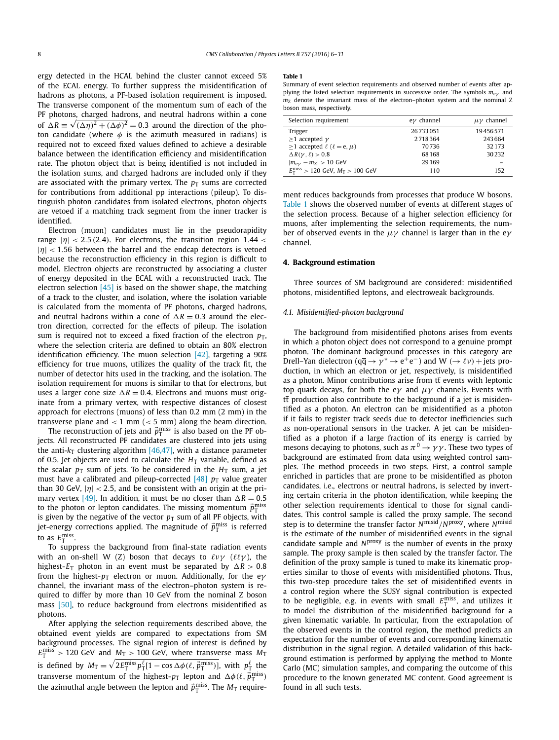<span id="page-2-0"></span>ergy detected in the HCAL behind the cluster cannot exceed 5% of the ECAL energy. To further suppress the misidentification of hadrons as photons, a PF-based isolation requirement is imposed. The transverse component of the momentum sum of each of the PF photons, charged hadrons, and neutral hadrons within a cone of  $\Delta R = \sqrt{(\Delta \eta)^2 + (\Delta \phi)^2} = 0.3$  around the direction of the photon candidate (where  $\phi$  is the azimuth measured in radians) is required not to exceed fixed values defined to achieve a desirable balance between the identification efficiency and misidentification rate. The photon object that is being identified is not included in the isolation sums, and charged hadrons are included only if they are associated with the primary vertex. The  $p_T$  sums are corrected for contributions from additional pp interactions (pileup). To distinguish photon candidates from isolated electrons, photon objects are vetoed if a matching track segment from the inner tracker is identified.

Electron (muon) candidates must lie in the pseudorapidity range  $|\eta|$  < 2.5 (2.4). For electrons, the transition region 1.44 <  $|n|$  < 1.56 between the barrel and the endcap detectors is vetoed because the reconstruction efficiency in this region is difficult to model. Electron objects are reconstructed by associating a cluster of energy deposited in the ECAL with a reconstructed track. The electron selection [\[45\]](#page-9-0) is based on the shower shape, the matching of a track to the cluster, and isolation, where the isolation variable is calculated from the momenta of PF photons, charged hadrons, and neutral hadrons within a cone of  $\Delta R = 0.3$  around the electron direction, corrected for the effects of pileup. The isolation sum is required not to exceed a fixed fraction of the electron  $p_T$ , where the selection criteria are defined to obtain an 80% electron identification efficiency. The muon selection  $[42]$ , targeting a 90% efficiency for true muons, utilizes the quality of the track fit, the number of detector hits used in the tracking, and the isolation. The isolation requirement for muons is similar to that for electrons, but uses a larger cone size  $\Delta R = 0.4$ . Electrons and muons must originate from a primary vertex, with respective distances of closest approach for electrons (muons) of less than 0.2 mm (2 mm) in the transverse plane and *<* 1 mm (*<* 5 mm) along the beam direction.

The reconstruction of jets and  $\vec{p}_{\rm T}^{\rm miss}$  is also based on the PF objects. All reconstructed PF candidates are clustered into jets using the anti- $k<sub>T</sub>$  clustering algorithm [\[46,47\],](#page-9-0) with a distance parameter of 0.5. Jet objects are used to calculate the  $H<sub>T</sub>$  variable, defined as the scalar  $p_T$  sum of jets. To be considered in the  $H_T$  sum, a jet must have a calibrated and pileup-corrected  $[48]$   $p_T$  value greater than 30 GeV,  $|\eta|$  < 2.5, and be consistent with an origin at the pri-mary vertex [\[49\].](#page-9-0) In addition, it must be no closer than  $\Delta R = 0.5$ to the photon or lepton candidates. The missing momentum  $\vec{p}_{\rm T}^{\rm miss}$ is given by the negative of the vector  $p_{\text{T}}$  sum of all PF objects, with jet-energy corrections applied. The magnitude of  $\vec{p}_{\rm T}^{\rm miss}$  is referred to as  $E_{\text{T}}^{\text{miss}}$ .

To suppress the background from final-state radiation events with an on-shell W (Z) boson that decays to  $\ell v \gamma$  ( $\ell \ell \gamma$ ), the highest- $E_T$  photon in an event must be separated by  $\Delta R > 0.8$ from the highest- $p_T$  electron or muon. Additionally, for the eγ channel, the invariant mass of the electron–photon system is required to differ by more than 10 GeV from the nominal Z boson mass [\[50\],](#page-9-0) to reduce background from electrons misidentified as photons.

After applying the selection requirements described above, the obtained event yields are compared to expectations from SM background processes. The signal region of interest is defined by  $E_{\rm T}^{\rm miss} > 120$  GeV and  $M_{\rm T} > 100$  GeV, where transverse mass  $M_{\rm T}$ is defined by  $M_T = \sqrt{2E_T^{\text{miss}}} p_T^{\ell} [1 - \cos \Delta \phi(\ell, \vec{p}_T^{\text{miss}})],$  with  $p_T^{\ell}$  the transverse momentum of the highest- $p_{\text{T}}$  lepton and  $\Delta\phi(\ell, \vec{p}_{\text{T}}^{\text{miss}})$ the azimuthal angle between the lepton and  $\vec{p}_{\rm T}^{\rm miss}$ . The  $M_{\rm T}$  require-

#### **Table 1**

Summary of event selection requirements and observed number of events after applying the listed selection requirements in successive order. The symbols *m*e*γ* and *m*<sub>Z</sub> denote the invariant mass of the electron–photon system and the nominal Z boson mass, respectively.

| Selection requirement                                   | $eV$ channel | $\mu\nu$ channel |  |
|---------------------------------------------------------|--------------|------------------|--|
| Trigger                                                 | 26733051     | 19456571         |  |
| $\geq$ 1 accepted $\gamma$                              | 2718364      | 243664           |  |
| >1 accepted $\ell$ ( $\ell = e, \mu$ )                  | 70736        | 32173            |  |
| $\Delta R(\gamma, \ell) > 0.8$                          | 68168        | 30232            |  |
| $ m_{e\gamma} - m_Z  > 10$ GeV                          | 29169        |                  |  |
| $E_{\rm T}^{\rm miss} > 120$ GeV, $M_{\rm T} > 100$ GeV | 110          | 152              |  |

ment reduces backgrounds from processes that produce W bosons. Table 1 shows the observed number of events at different stages of the selection process. Because of a higher selection efficiency for muons, after implementing the selection requirements, the number of observed events in the *μγ* channel is larger than in the e*γ* channel.

#### **4. Background estimation**

Three sources of SM background are considered: misidentified photons, misidentified leptons, and electroweak backgrounds.

### *4.1. Misidentified-photon background*

The background from misidentified photons arises from events in which a photon object does not correspond to a genuine prompt photon. The dominant background processes in this category are Drell–Yan dielectron ( $q\overline{q} \rightarrow \gamma^* \rightarrow e^+e^-$ ) and W ( $\rightarrow \ell \nu$ ) + jets production, in which an electron or jet, respectively, is misidentified as a photon. Minor contributions arise from tt events with leptonic top quark decays, for both the e*γ* and *μγ* channels. Events with tt production also contribute to the background if a jet is misidentified as a photon. An electron can be misidentified as a photon if it fails to register track seeds due to detector inefficiencies such as non-operational sensors in the tracker. A jet can be misidentified as a photon if a large fraction of its energy is carried by mesons decaying to photons, such as  $\pi^0 \rightarrow \gamma \gamma$ . These two types of background are estimated from data using weighted control samples. The method proceeds in two steps. First, a control sample enriched in particles that are prone to be misidentified as photon candidates, i.e., electrons or neutral hadrons, is selected by inverting certain criteria in the photon identification, while keeping the other selection requirements identical to those for signal candidates. This control sample is called the proxy sample. The second step is to determine the transfer factor *N*misid*/N*proxy, where *N*misid is the estimate of the number of misidentified events in the signal candidate sample and *N*proxy is the number of events in the proxy sample. The proxy sample is then scaled by the transfer factor. The definition of the proxy sample is tuned to make its kinematic properties similar to those of events with misidentified photons. Thus, this two-step procedure takes the set of misidentified events in a control region where the SUSY signal contribution is expected to be negligible, e.g. in events with small  $E_{\text{T}}^{\text{miss}}$ , and utilizes it to model the distribution of the misidentified background for a given kinematic variable. In particular, from the extrapolation of the observed events in the control region, the method predicts an expectation for the number of events and corresponding kinematic distribution in the signal region. A detailed validation of this background estimation is performed by applying the method to Monte Carlo (MC) simulation samples, and comparing the outcome of this procedure to the known generated MC content. Good agreement is found in all such tests.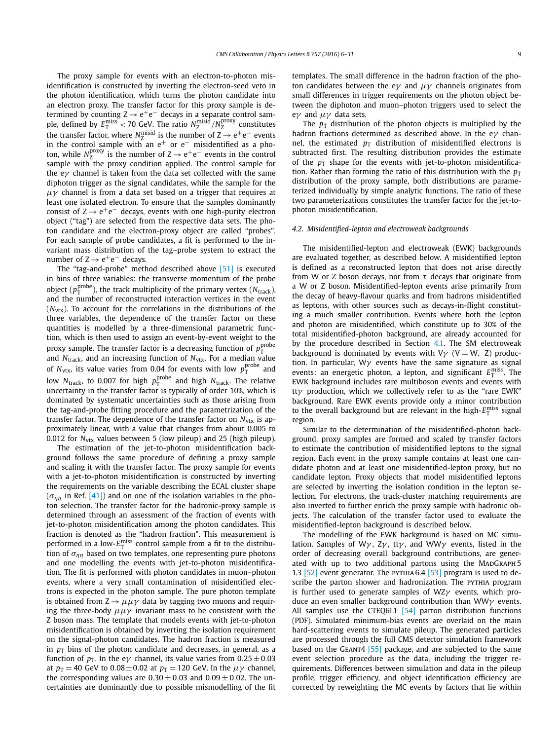The proxy sample for events with an electron-to-photon misidentification is constructed by inverting the electron-seed veto in the photon identification, which turns the photon candidate into an electron proxy. The transfer factor for this proxy sample is determined by counting  $Z \rightarrow e^+e^-$  decays in a separate control sample, defined by  $E_{\rm T}^{\rm miss} < 70$  GeV. The ratio  $N_{\rm Z}^{\rm misid}/N_{\rm Z}^{\rm proxy}$  constitutes the transfer factor, where  $N_Z^{\text{misid}}$  is the number of Z  $\rightarrow e^+e^-$  events in the control sample with an  $e^+$  or  $e^-$  misidentified as a photon, while  $N_Z^{\text{proxy}}$  is the number of  $Z \rightarrow e^+e^-$  events in the control sample with the proxy condition applied. The control sample for the e*γ* channel is taken from the data set collected with the same diphoton trigger as the signal candidates, while the sample for the  $\mu$ *γ* channel is from a data set based on a trigger that requires at least one isolated electron. To ensure that the samples dominantly consist of  $Z \rightarrow e^+e^-$  decays, events with one high-purity electron object ("tag") are selected from the respective data sets. The photon candidate and the electron-proxy object are called "probes". For each sample of probe candidates, a fit is performed to the invariant mass distribution of the tag–probe system to extract the number of  $Z \rightarrow e^+e^-$  decays.

The "tag-and-probe" method described above [\[51\]](#page-9-0) is executed in bins of three variables: the transverse momentum of the probe object ( $p_T^{\rm probe}$ ), the track multiplicity of the primary vertex ( $N_{\rm track}$ ), and the number of reconstructed interaction vertices in the event  $(N_{\text{vtx}})$ . To account for the correlations in the distributions of the three variables, the dependence of the transfer factor on these quantities is modelled by a three-dimensional parametric function, which is then used to assign an event-by-event weight to the proxy sample. The transfer factor is a decreasing function of  $p^{\rm probe}_{\rm T}$ and *N*<sub>track</sub>, and an increasing function of *N*<sub>vtx</sub>. For a median value of  $N_{\text{vtx}}$ , its value varies from 0.04 for events with low  $p_{\text{T}}^{\text{probe}}$  and low  $N_\mathrm{track}$ , to 0.007 for high  $p_\mathrm{T}^\mathrm{probe}$  and high  $N_\mathrm{track}$ . The relative uncertainty in the transfer factor is typically of order 10%, which is dominated by systematic uncertainties such as those arising from the tag-and-probe fitting procedure and the parametrization of the transfer factor. The dependence of the transfer factor on  $N_{\text{vtx}}$  is approximately linear, with a value that changes from about 0.005 to 0.012 for *N*<sub>vtx</sub> values between 5 (low pileup) and 25 (high pileup).

The estimation of the jet-to-photon misidentification background follows the same procedure of defining a proxy sample and scaling it with the transfer factor. The proxy sample for events with a jet-to-photon misidentification is constructed by inverting the requirements on the variable describing the ECAL cluster shape  $(\sigma_{nn}$  in Ref. [\[41\]\)](#page-9-0) and on one of the isolation variables in the photon selection. The transfer factor for the hadronic-proxy sample is determined through an assessment of the fraction of events with jet-to-photon misidentification among the photon candidates. This fraction is denoted as the "hadron fraction". This measurement is performed in a low- $E_{\rm T}^{\rm miss}$  control sample from a fit to the distribution of  $\sigma_{nn}$  based on two templates, one representing pure photons and one modelling the events with jet-to-photon misidentification. The fit is performed with photon candidates in muon–photon events, where a very small contamination of misidentified electrons is expected in the photon sample. The pure photon template is obtained from  $Z \rightarrow \mu \mu \gamma$  data by tagging two muons and requiring the three-body  $\mu\mu\gamma$  invariant mass to be consistent with the Z boson mass. The template that models events with jet-to-photon misidentification is obtained by inverting the isolation requirement on the signal-photon candidates. The hadron fraction is measured in  $p<sub>T</sub>$  bins of the photon candidate and decreases, in general, as a function of  $p<sub>T</sub>$ . In the e*γ* channel, its value varies from  $0.25 \pm 0.03$ at  $p_T = 40$  GeV to  $0.08 \pm 0.02$  at  $p_T = 120$  GeV. In the  $\mu\gamma$  channel, the corresponding values are  $0.30 \pm 0.03$  and  $0.09 \pm 0.02$ . The uncertainties are dominantly due to possible mismodelling of the fit templates. The small difference in the hadron fraction of the photon candidates between the e*γ* and *μγ* channels originates from small differences in trigger requirements on the photon object between the diphoton and muon–photon triggers used to select the e*γ* and *μγ* data sets.

The  $p_T$  distribution of the photon objects is multiplied by the hadron fractions determined as described above. In the e*γ* channel, the estimated  $p_T$  distribution of misidentified electrons is subtracted first. The resulting distribution provides the estimate of the  $p_T$  shape for the events with jet-to-photon misidentification. Rather than forming the ratio of this distribution with the  $p_T$ distribution of the proxy sample, both distributions are parameterized individually by simple analytic functions. The ratio of these two parameterizations constitutes the transfer factor for the jet-tophoton misidentification.

#### *4.2. Misidentified-lepton and electroweak backgrounds*

The misidentified-lepton and electroweak (EWK) backgrounds are evaluated together, as described below. A misidentified lepton is defined as a reconstructed lepton that does not arise directly from W or Z boson decays, nor from  $\tau$  decays that originate from a W or Z boson. Misidentified-lepton events arise primarily from the decay of heavy-flavour quarks and from hadrons misidentified as leptons, with other sources such as decays-in-flight constituting a much smaller contribution. Events where both the lepton and photon are misidentified, which constitute up to 30% of the total misidentified-photon background, are already accounted for by the procedure described in Section [4.1.](#page-2-0) The SM electroweak background is dominated by events with  $V\gamma$  (V = W, Z) production. In particular, W*γ* events have the same signature as signal events: an energetic photon, a lepton, and significant  $E_{\text{T}}^{\text{miss}}$ . The EWK background includes rare multiboson events and events with tt*γ* production, which we collectively refer to as the "rare EWK" background. Rare EWK events provide only a minor contribution to the overall background but are relevant in the high- $E_{\rm T}^{\rm miss}$  signal region.

Similar to the determination of the misidentified-photon background, proxy samples are formed and scaled by transfer factors to estimate the contribution of misidentified leptons to the signal region. Each event in the proxy sample contains at least one candidate photon and at least one misidentified-lepton proxy, but no candidate lepton. Proxy objects that model misidentified leptons are selected by inverting the isolation condition in the lepton selection. For electrons, the track-cluster matching requirements are also inverted to further enrich the proxy sample with hadronic objects. The calculation of the transfer factor used to evaluate the misidentified-lepton background is described below.

The modelling of the EWK background is based on MC simulation. Samples of W*γ* , Z*γ* , tt*γ* , and WW*γ* events, listed in the order of decreasing overall background contributions, are generated with up to two additional partons using the MADGRAPH5 1.3  $[52]$  event generator. The PYTHIA 6.4  $[53]$  program is used to describe the parton shower and hadronization. The PYTHIA program is further used to generate samples of WZ*γ* events, which produce an even smaller background contribution than WW*γ* events. All samples use the CTEQ6L1  $[54]$  parton distribution functions (PDF). Simulated minimum-bias events are overlaid on the main hard-scattering events to simulate pileup. The generated particles are processed through the full CMS detector simulation framework based on the GEANT4 [\[55\]](#page-9-0) package, and are subjected to the same event selection procedure as the data, including the trigger requirements. Differences between simulation and data in the pileup profile, trigger efficiency, and object identification efficiency are corrected by reweighting the MC events by factors that lie within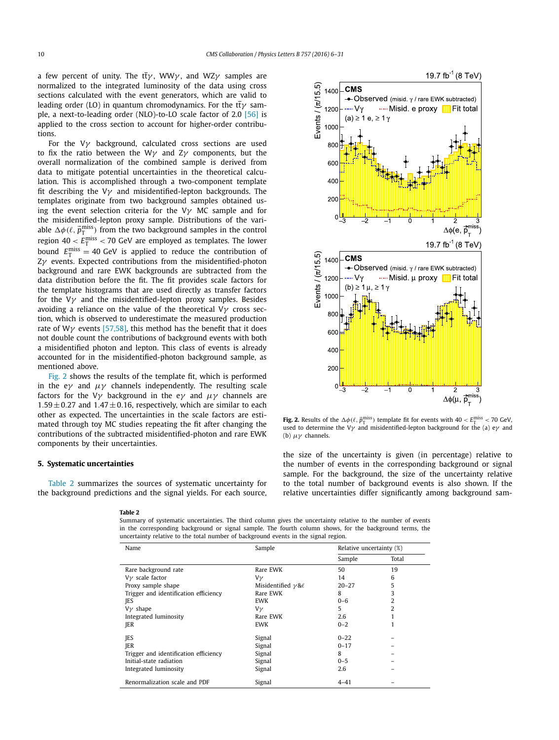<span id="page-4-0"></span>a few percent of unity. The tt*γ* , WW*γ* , and WZ*γ* samples are normalized to the integrated luminosity of the data using cross sections calculated with the event generators, which are valid to leading order (LO) in quantum chromodynamics. For the tt*γ* sample, a next-to-leading order (NLO)-to-LO scale factor of 2.0 [\[56\]](#page-9-0) is applied to the cross section to account for higher-order contributions.

For the V*γ* background, calculated cross sections are used to fix the ratio between the W*γ* and Z*γ* components, but the overall normalization of the combined sample is derived from data to mitigate potential uncertainties in the theoretical calculation. This is accomplished through a two-component template fit describing the V*γ* and misidentified-lepton backgrounds. The templates originate from two background samples obtained using the event selection criteria for the V*γ* MC sample and for the misidentified-lepton proxy sample. Distributions of the variable  $\Delta\phi$ ( $\ell$ ,  $\vec{p}_{\rm T}^{\rm miss}$ ) from the two background samples in the control region 40 *< E*miss <sup>T</sup> *<* 70 GeV are employed as templates. The lower bound  $E_{\text{T}}^{\text{miss}} = 40 \text{ GeV}$  is applied to reduce the contribution of Z*γ* events. Expected contributions from the misidentified-photon background and rare EWK backgrounds are subtracted from the data distribution before the fit. The fit provides scale factors for the template histograms that are used directly as transfer factors for the V*γ* and the misidentified-lepton proxy samples. Besides avoiding a reliance on the value of the theoretical V*γ* cross section, which is observed to underestimate the measured production rate of W<sub>*Y*</sub> events [\[57,58\],](#page-9-0) this method has the benefit that it does not double count the contributions of background events with both a misidentified photon and lepton. This class of events is already accounted for in the misidentified-photon background sample, as mentioned above.

Fig. 2 shows the results of the template fit, which is performed in the e*γ* and *μγ* channels independently. The resulting scale factors for the V*γ* background in the e*γ* and *μγ* channels are  $1.59 \pm 0.27$  and  $1.47 \pm 0.16$ , respectively, which are similar to each other as expected. The uncertainties in the scale factors are estimated through toy MC studies repeating the fit after changing the contributions of the subtracted misidentified-photon and rare EWK components by their uncertainties.

### **5. Systematic uncertainties**

Table 2 summarizes the sources of systematic uncertainty for the background predictions and the signal yields. For each source,



**Fig. 2.** Results of the  $\Delta\phi$ ( $\ell$ ,  $\vec{p}_{\text{T}}^{\text{miss}}$ ) template fit for events with  $40 < E_{\text{T}}^{\text{miss}} < 70$  GeV, used to determine the V*γ* and misidentified-lepton background for the (a) e*γ* and (b) *μγ* channels.

the size of the uncertainty is given (in percentage) relative to the number of events in the corresponding background or signal sample. For the background, the size of the uncertainty relative to the total number of background events is also shown. If the relative uncertainties differ significantly among background sam-

**Table 2**

Summary of systematic uncertainties. The third column gives the uncertainty relative to the number of events in the corresponding background or signal sample. The fourth column shows, for the background terms, the uncertainty relative to the total number of background events in the signal region.

| Name                                  | Sample                          |           | Relative uncertainty (%) |  |
|---------------------------------------|---------------------------------|-----------|--------------------------|--|
|                                       |                                 | Sample    | Total                    |  |
| Rare background rate                  | Rare EWK                        | 50        | 19                       |  |
| $V\gamma$ scale factor                | Vν                              | 14        | 6                        |  |
| Proxy sample shape                    | Misidentified $\gamma$ & $\ell$ | $20 - 27$ | 5                        |  |
| Trigger and identification efficiency | Rare EWK                        | 8         |                          |  |
| JES                                   | <b>EWK</b>                      | $0 - 6$   |                          |  |
| $V\gamma$ shape                       | Vν                              | 5         | 2                        |  |
| Integrated luminosity                 | Rare EWK                        | 2.6       |                          |  |
| JER                                   | <b>EWK</b>                      | $0 - 2$   |                          |  |
| JES                                   | Signal                          | $0 - 22$  |                          |  |
| JER                                   | Signal                          | $0 - 17$  |                          |  |
| Trigger and identification efficiency | Signal                          | 8         |                          |  |
| Initial-state radiation               | Signal                          | $0 - 5$   |                          |  |
| Integrated luminosity                 | Signal                          | 2.6       |                          |  |
| Renormalization scale and PDF         | Signal                          | $4 - 41$  |                          |  |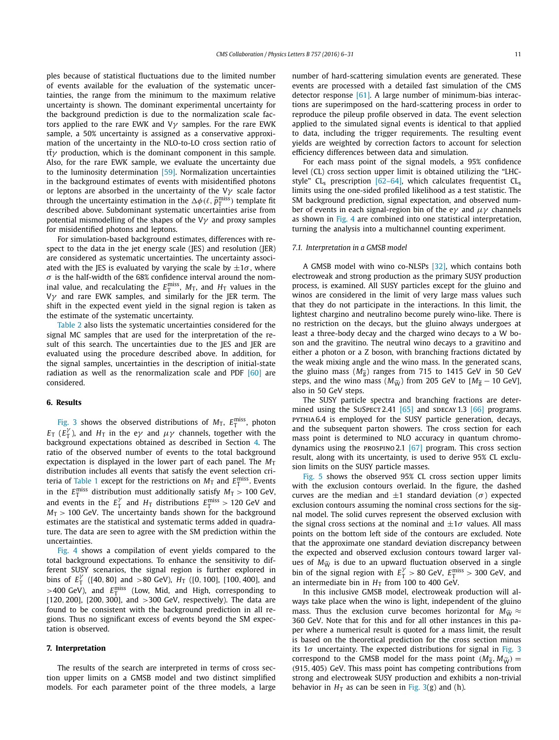<span id="page-5-0"></span>ples because of statistical fluctuations due to the limited number of events available for the evaluation of the systematic uncertainties, the range from the minimum to the maximum relative uncertainty is shown. The dominant experimental uncertainty for the background prediction is due to the normalization scale factors applied to the rare EWK and V*γ* samples. For the rare EWK sample, a 50% uncertainty is assigned as a conservative approximation of the uncertainty in the NLO-to-LO cross section ratio of tt*γ* production, which is the dominant component in this sample. Also, for the rare EWK sample, we evaluate the uncertainty due to the luminosity determination [\[59\].](#page-9-0) Normalization uncertainties in the background estimates of events with misidentified photons or leptons are absorbed in the uncertainty of the V*γ* scale factor through the uncertainty estimation in the  $\Delta\phi(\ell, \vec{p}_{\rm T}^{\rm miss})$  template fit described above. Subdominant systematic uncertainties arise from potential mismodelling of the shapes of the V*γ* and proxy samples for misidentified photons and leptons.

For simulation-based background estimates, differences with respect to the data in the jet energy scale (JES) and resolution (JER) are considered as systematic uncertainties. The uncertainty associated with the JES is evaluated by varying the scale by  $\pm 1\sigma$ , where *σ* is the half-width of the 68% confidence interval around the nominal value, and recalculating the  $E_{\rm T}^{\rm miss}$ ,  $M_{\rm T}$ , and  $H_{\rm T}$  values in the V*γ* and rare EWK samples, and similarly for the JER term. The shift in the expected event yield in the signal region is taken as the estimate of the systematic uncertainty.

[Table 2](#page-4-0) also lists the systematic uncertainties considered for the signal MC samples that are used for the interpretation of the result of this search. The uncertainties due to the JES and JER are evaluated using the procedure described above. In addition, for the signal samples, uncertainties in the description of initial-state radiation as well as the renormalization scale and PDF [\[60\]](#page-9-0) are considered.

### **6. Results**

[Fig. 3](#page-6-0) shows the observed distributions of  $M_T$ ,  $E_T^{\text{miss}}$ , photon *E*<sub>T</sub> ( $E_T^{\gamma}$ ), and *H*<sub>T</sub> in the e $\gamma$  and  $\mu \gamma$  channels, together with the background expectations obtained as described in Section [4.](#page-2-0) The ratio of the observed number of events to the total background expectation is displayed in the lower part of each panel. The  $M<sub>T</sub>$ distribution includes all events that satisfy the event selection cri-teria of [Table 1](#page-2-0) except for the restrictions on  $M_{\rm T}$  and  $E_{\rm T}^{\rm miss}$ . Events in the  $E_{\rm T}^{\rm miss}$  distribution must additionally satisfy  $M_{\rm T} > 100$  GeV, and events in the  $E_T^{\gamma}$  and  $H_T$  distributions  $E_T^{\text{miss}} > 120$  GeV and  $M<sub>T</sub>$  *>* 100 GeV. The uncertainty bands shown for the background estimates are the statistical and systematic terms added in quadrature. The data are seen to agree with the SM prediction within the uncertainties.

[Fig. 4](#page-7-0) shows a compilation of event yields compared to the total background expectations. To enhance the sensitivity to different SUSY scenarios, the signal region is further explored in bins of  $E_1^{\gamma}$  ([40, 80] and *>*80 GeV),  $H_T$  ([0, 100], [100, 400], and >400 GeV), and  $E_{\text{T}}^{\text{miss}}$  (Low, Mid, and High, corresponding to [120*,* 200], [200*,* 300], and *>*300 GeV, respectively). The data are found to be consistent with the background prediction in all regions. Thus no significant excess of events beyond the SM expectation is observed.

### **7. Interpretation**

The results of the search are interpreted in terms of cross section upper limits on a GMSB model and two distinct simplified models. For each parameter point of the three models, a large number of hard-scattering simulation events are generated. These events are processed with a detailed fast simulation of the CMS detector response [\[61\].](#page-9-0) A large number of minimum-bias interactions are superimposed on the hard-scattering process in order to reproduce the pileup profile observed in data. The event selection applied to the simulated signal events is identical to that applied to data, including the trigger requirements. The resulting event yields are weighted by correction factors to account for selection efficiency differences between data and simulation.

For each mass point of the signal models, a 95% confidence level (CL) cross section upper limit is obtained utilizing the "LHC-style" CL<sub>s</sub> prescription [\[62–64\],](#page-9-0) which calculates frequentist CL<sub>s</sub> limits using the one-sided profiled likelihood as a test statistic. The SM background prediction, signal expectation, and observed number of events in each signal-region bin of the e*γ* and *μγ* channels as shown in [Fig. 4](#page-7-0) are combined into one statistical interpretation, turning the analysis into a multichannel counting experiment.

#### *7.1. Interpretation in a GMSB model*

A GMSB model with wino co-NLSPs [\[32\],](#page-9-0) which contains both electroweak and strong production as the primary SUSY production process, is examined. All SUSY particles except for the gluino and winos are considered in the limit of very large mass values such that they do not participate in the interactions. In this limit, the lightest chargino and neutralino become purely wino-like. There is no restriction on the decays, but the gluino always undergoes at least a three-body decay and the charged wino decays to a W boson and the gravitino. The neutral wino decays to a gravitino and either a photon or a Z boson, with branching fractions dictated by the weak mixing angle and the wino mass. In the generated scans, the gluino mass  $(M_{\tilde{g}})$  ranges from 715 to 1415 GeV in 50 GeV steps, and the wino mass ( $M_{\widetilde{W}}$ ) from 205 GeV to [ $M_{\widetilde{g}} - 10$  GeV], also in 50 GeV steps.

The SUSY particle spectra and branching fractions are determined using the SUSPECT 2.41  $[65]$  and SDECAY 1.3  $[66]$  programs. pythia 6.4 is employed for the SUSY particle generation, decays, and the subsequent parton showers. The cross section for each mass point is determined to NLO accuracy in quantum chromodynamics using the prospino 2.1 [\[67\]](#page-9-0) program. This cross section result, along with its uncertainty, is used to derive 95% CL exclusion limits on the SUSY particle masses.

[Fig. 5](#page-7-0) shows the observed 95% CL cross section upper limits with the exclusion contours overlaid. In the figure, the dashed curves are the median and  $\pm 1$  standard deviation ( $\sigma$ ) expected exclusion contours assuming the nominal cross sections for the signal model. The solid curves represent the observed exclusion with the signal cross sections at the nominal and  $\pm 1\sigma$  values. All mass points on the bottom left side of the contours are excluded. Note that the approximate one standard deviation discrepancy between the expected and observed exclusion contours toward larger values of  $M_{\widetilde{W}}$  is due to an upward fluctuation observed in a single bin of the signal region with  $E_T^{\gamma} > 80$  GeV,  $E_T^{\text{miss}} > 300$  GeV, and an intermediate bin in  $H<sub>T</sub>$  from 100 to 400 GeV.

In this inclusive GMSB model, electroweak production will always take place when the wino is light, independent of the gluino mass. Thus the exclusion curve becomes horizontal for  $M_{\widetilde{W}} \approx$ 360 GeV. Note that for this and for all other instances in this paper where a numerical result is quoted for a mass limit, the result is based on the theoretical prediction for the cross section minus its  $1\sigma$  uncertainty. The expected distributions for signal in [Fig. 3](#page-6-0) correspond to the GMSB model for the mass point  $(M_{\tilde{g}}, M_{\tilde{W}})$  = *(*915*,* 405*)* GeV. This mass point has competing contributions from strong and electroweak SUSY production and exhibits a non-trivial behavior in  $H_T$  as can be seen in [Fig. 3\(](#page-6-0)g) and (h).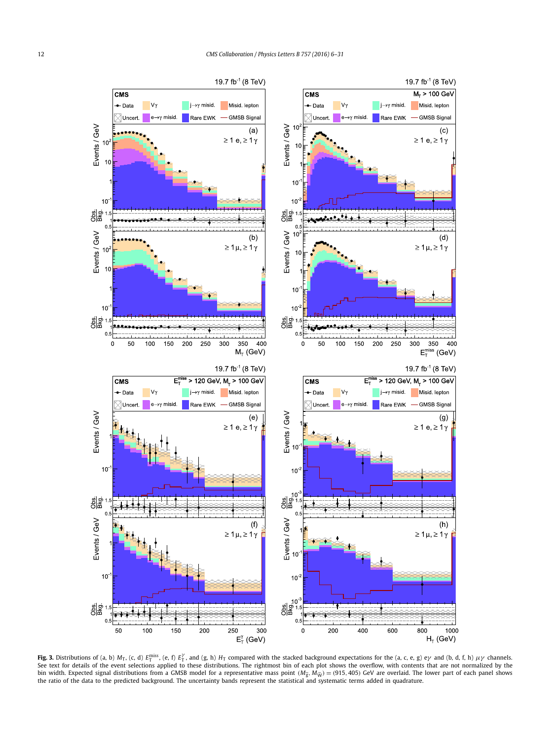<span id="page-6-0"></span>

**Fig. 3.** Distributions of (a, b)  $M_T$ , (c, d)  $E_T^{\text{miss}}$ , (e, f)  $E_T^{\gamma}$ , and (g, h)  $H_T$  compared with the stacked background expectations for the (a, c, e, g) ey and (b, d, f, h)  $\mu\gamma$  channels.<br>See text for details bin width. Expected signal distributions from a GMSB model for a representative mass point  $(M_{\widetilde g},M_{\widetilde W})=(915,405)$  GeV are overlaid. The lower part of each panel shows the ratio of the data to the predicted background. The uncertainty bands represent the statistical and systematic terms added in quadrature.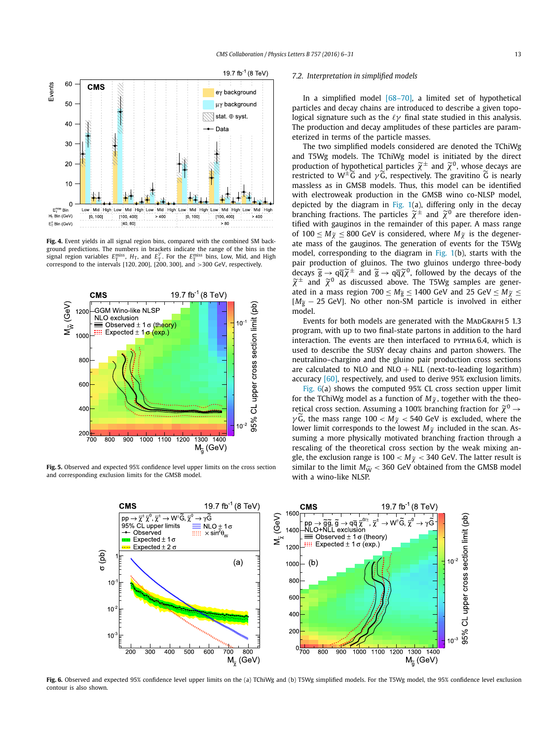<span id="page-7-0"></span>

**Fig. 4.** Event yields in all signal region bins, compared with the combined SM background predictions. The numbers in brackets indicate the range of the bins in the  $\frac{1}{2}$  region variables  $E_{\text{T}}^{\text{miss}}$ ,  $H_{\text{T}}$ , and  $E_{\text{T}}^{\gamma}$ . For the  $E_{\text{T}}^{\text{miss}}$  bins, Low, Mid, and High correspond to the intervals [120*,* 200], [200*,* 300], and *>*300 GeV, respectively.



**Fig. 5.** Observed and expected 95% confidence level upper limits on the cross section and corresponding exclusion limits for the GMSB model.

#### *7.2. Interpretation in simplified models*

In a simplified model  $[68-70]$ , a limited set of hypothetical particles and decay chains are introduced to describe a given topological signature such as the  $\ell$ γ final state studied in this analysis. The production and decay amplitudes of these particles are parameterized in terms of the particle masses.

The two simplified models considered are denoted the TChiWg and T5Wg models. The TChiWg model is initiated by the direct production of hypothetical particles  $\widetilde{\chi}^{\pm}$  and  $\widetilde{\chi}^0$ , whose decays are restricted to  $W^{\pm} \tilde{G}$  and  $\gamma \tilde{G}$ , respectively. The gravitino  $\tilde{G}$  is nearly massless as in GMSB models. Thus, this model can be identified with electroweak production in the GMSB wino co-NLSP model, depicted by the diagram in Fig.  $1(a)$ , differing only in the decay branching fractions. The particles  $\tilde{\chi}^{\pm}$  and  $\tilde{\chi}^{0}$  are therefore identified with gauginos in the remainder of this paper. A mass range of  $100 \le M_{\widetilde{X}} \le 800$  GeV is considered, where  $M_{\widetilde{X}}$  is the degenerate mass of the gauginos. The generation of events for the T5Wg model, corresponding to the diagram in [Fig. 1\(](#page-1-0)b), starts with the pair production of gluinos. The two gluinos undergo three-body decays  $\widetilde{g} \to q\overline{q}\widetilde{\chi}^{\pm}$  and  $\widetilde{g} \to q\overline{q}\widetilde{\chi}^{0}$ , followed by the decays of the  $\widetilde{\chi}^{\pm}$  and  $\widetilde{\chi}^0$  as discussed above. The T5Wg samples are generated in a mass region 700  $\leq M_{\widetilde{g}} \leq 1400$  GeV and 25 GeV  $\leq M_{\widetilde{X}} \leq$ [ $M_{\widetilde{g}}$  – 25 GeV]. No other non-SM particle is involved in either model.

Events for both models are generated with the MADGRAPH 5 1.3 program, with up to two final-state partons in addition to the hard interaction. The events are then interfaced to PYTHIA 6.4, which is used to describe the SUSY decay chains and parton showers. The neutralino–chargino and the gluino pair production cross sections are calculated to NLO and NLO + NLL (next-to-leading logarithm) accuracy [\[60\],](#page-9-0) respectively, and used to derive 95% exclusion limits.

Fig. 6(a) shows the computed 95% CL cross section upper limit for the TChiWg model as a function of  $M_{\widetilde{\chi}}$ , together with the theoretical cross section. Assuming a 100% branching fraction for  $\widetilde{\chi}^0 \rightarrow$ *γ* G, the mass range  $100 < M_{\tilde{\chi}} < 540$  GeV is excluded, where the lower limit corresponds to the lowest  $M_{\widetilde{\chi}}$  included in the scan. Assuming a more physically motivated branching fraction through a rescaling of the theoretical cross section by the weak mixing angle, the exclusion range is  $100 < M_{\widetilde{\chi}} < 340$  GeV. The latter result is similar to the limit  $M_{\widetilde{W}}$  < 360 GeV obtained from the GMSB model with a wino-like NLSP.



**Fig. 6.** Observed and expected 95% confidence level upper limits on the (a) TChiWg and (b) T5Wg simplified models. For the T5Wg model, the 95% confidence level exclusion contour is also shown.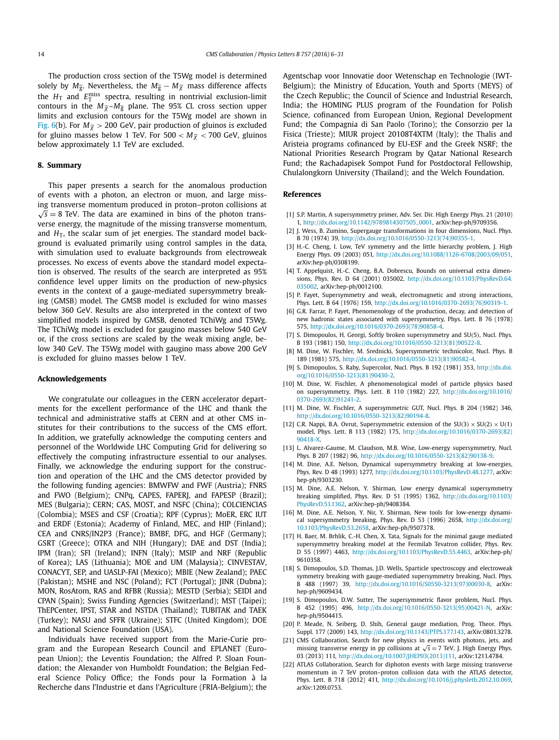<span id="page-8-0"></span>The production cross section of the T5Wg model is determined solely by  $M_{\widetilde{g}}$ . Nevertheless, the  $M_{\widetilde{g}} - M_{\widetilde{\chi}}$  mass difference affects the  $H_{\rm T}$  and  $E_{\rm T}^{\rm miss}$  spectra, resulting in nontrivial exclusion-limit contours in the *<sup>M</sup>χ*-–*M*-<sup>g</sup> plane. The 95% CL cross section upper limits and exclusion contours for the T5Wg model are shown in [Fig. 6\(](#page-7-0)b). For  $M_{\tilde{\chi}} > 200$  GeV, pair production of gluinos is excluded for gluino masses below 1 TeV. For <sup>500</sup> *< <sup>M</sup>χ*- *<* 700 GeV, gluinos below approximately 1.1 TeV are excluded.

#### **8. Summary**

This paper presents a search for the anomalous production of events with a photon, an electron or muon, and large missing transverse momentum produced in proton–proton collisions at  $\sqrt{s}$  = 8 TeV. The data are examined in bins of the photon transverse energy, the magnitude of the missing transverse momentum, and  $H<sub>T</sub>$ , the scalar sum of jet energies. The standard model background is evaluated primarily using control samples in the data, with simulation used to evaluate backgrounds from electroweak processes. No excess of events above the standard model expectation is observed. The results of the search are interpreted as 95% confidence level upper limits on the production of new-physics events in the context of a gauge-mediated supersymmetry breaking (GMSB) model. The GMSB model is excluded for wino masses below 360 GeV. Results are also interpreted in the context of two simplified models inspired by GMSB, denoted TChiWg and T5Wg. The TChiWg model is excluded for gaugino masses below 540 GeV or, if the cross sections are scaled by the weak mixing angle, below 340 GeV. The T5Wg model with gaugino mass above 200 GeV is excluded for gluino masses below 1 TeV.

#### **Acknowledgements**

We congratulate our colleagues in the CERN accelerator departments for the excellent performance of the LHC and thank the technical and administrative staffs at CERN and at other CMS institutes for their contributions to the success of the CMS effort. In addition, we gratefully acknowledge the computing centers and personnel of the Worldwide LHC Computing Grid for delivering so effectively the computing infrastructure essential to our analyses. Finally, we acknowledge the enduring support for the construction and operation of the LHC and the CMS detector provided by the following funding agencies: BMWFW and FWF (Austria); FNRS and FWO (Belgium); CNPq, CAPES, FAPERJ, and FAPESP (Brazil); MES (Bulgaria); CERN; CAS, MOST, and NSFC (China); COLCIENCIAS (Colombia); MSES and CSF (Croatia); RPF (Cyprus); MoER, ERC IUT and ERDF (Estonia); Academy of Finland, MEC, and HIP (Finland); CEA and CNRS/IN2P3 (France); BMBF, DFG, and HGF (Germany); GSRT (Greece); OTKA and NIH (Hungary); DAE and DST (India); IPM (Iran); SFI (Ireland); INFN (Italy); MSIP and NRF (Republic of Korea); LAS (Lithuania); MOE and UM (Malaysia); CINVESTAV, CONACYT, SEP, and UASLP-FAI (Mexico); MBIE (New Zealand); PAEC (Pakistan); MSHE and NSC (Poland); FCT (Portugal); JINR (Dubna); MON, RosAtom, RAS and RFBR (Russia); MESTD (Serbia); SEIDI and CPAN (Spain); Swiss Funding Agencies (Switzerland); MST (Taipei); ThEPCenter, IPST, STAR and NSTDA (Thailand); TUBITAK and TAEK (Turkey); NASU and SFFR (Ukraine); STFC (United Kingdom); DOE and National Science Foundation (USA).

Individuals have received support from the Marie-Curie program and the European Research Council and EPLANET (European Union); the Leventis Foundation; the Alfred P. Sloan Foundation; the Alexander von Humboldt Foundation; the Belgian Federal Science Policy Office; the Fonds pour la Formation à la Recherche dans l'Industrie et dans l'Agriculture (FRIA-Belgium); the Agentschap voor Innovatie door Wetenschap en Technologie (IWT-Belgium); the Ministry of Education, Youth and Sports (MEYS) of the Czech Republic; the Council of Science and Industrial Research, India; the HOMING PLUS program of the Foundation for Polish Science, cofinanced from European Union, Regional Development Fund; the Compagnia di San Paolo (Torino); the Consorzio per la Fisica (Trieste); MIUR project 20108T4XTM (Italy); the Thalis and Aristeia programs cofinanced by EU-ESF and the Greek NSRF; the National Priorities Research Program by Qatar National Research Fund; the Rachadapisek Sompot Fund for Postdoctoral Fellowship, Chulalongkorn University (Thailand); and the Welch Foundation.

#### **References**

- [1] S.P. Martin, A supersymmetry primer, Adv. Ser. Dir. High Energy Phys. 21 (2010) 1, [http://dx.doi.org/10.1142/9789814307505\\_0001](http://dx.doi.org/10.1142/9789814307505_0001), arXiv:hep-ph/9709356.
- [2] J. Wess, B. Zumino, Supergauge transformations in four dimensions, Nucl. Phys. B 70 (1974) 39, [http://dx.doi.org/10.1016/0550-3213\(74\)90355-1](http://dx.doi.org/10.1016/0550-3213(74)90355-1).
- [3] H.-C. Cheng, I. Low, TeV symmetry and the little hierarchy problem, J. High Energy Phys. 09 (2003) 051, <http://dx.doi.org/10.1088/1126-6708/2003/09/051>, arXiv:hep-ph/0308199.
- [4] T. Appelquist, H.-C. Cheng, B.A. Dobrescu, Bounds on universal extra dimensions, Phys. Rev. D 64 (2001) 035002, [http://dx.doi.org/10.1103/PhysRevD.64.](http://dx.doi.org/10.1103/PhysRevD.64.035002) [035002,](http://dx.doi.org/10.1103/PhysRevD.64.035002) arXiv:hep-ph/0012100.
- [5] P. Fayet, Supersymmetry and weak, electromagnetic and strong interactions, Phys. Lett. B 64 (1976) 159, [http://dx.doi.org/10.1016/0370-2693\(76\)90319-1](http://dx.doi.org/10.1016/0370-2693(76)90319-1).
- [6] G.R. Farrar, P. Fayet, Phenomenology of the production, decay, and detection of new hadronic states associated with supersymmetry, Phys. Lett. B 76 (1978) 575, [http://dx.doi.org/10.1016/0370-2693\(78\)90858-4](http://dx.doi.org/10.1016/0370-2693(78)90858-4).
- [7] S. Dimopoulos, H. Georgi, Softly broken supersymmetry and SU*(*5*)*, Nucl. Phys. B 193 (1981) 150, [http://dx.doi.org/10.1016/0550-3213\(81\)90522-8](http://dx.doi.org/10.1016/0550-3213(81)90522-8).
- [8] M. Dine, W. Fischler, M. Srednicki, Supersymmetric technicolor, Nucl. Phys. B 189 (1981) 575, [http://dx.doi.org/10.1016/0550-3213\(81\)90582-4](http://dx.doi.org/10.1016/0550-3213(81)90582-4).
- [9] S. Dimopoulos, S. Raby, Supercolor, Nucl. Phys. B 192 (1981) 353, [http://dx.doi.](http://dx.doi.org/10.1016/0550-3213(81)90430-2) [org/10.1016/0550-3213\(81\)90430-2](http://dx.doi.org/10.1016/0550-3213(81)90430-2).
- [10] M. Dine, W. Fischler, A phenomenological model of particle physics based on supersymmetry, Phys. Lett. B 110 (1982) 227, [http://dx.doi.org/10.1016/](http://dx.doi.org/10.1016/0370-2693(82)91241-2) [0370-2693\(82\)91241-2](http://dx.doi.org/10.1016/0370-2693(82)91241-2).
- [11] M. Dine, W. Fischler, A supersymmetric GUT, Nucl. Phys. B 204 (1982) 346, [http://dx.doi.org/10.1016/0550-3213\(82\)90194-8](http://dx.doi.org/10.1016/0550-3213(82)90194-8).
- [12] C.R. Nappi, B.A. Ovrut, Supersymmetric extension of the SU*(*3*)* × SU*(*2*)* × U*(*1*)* model, Phys. Lett. B 113 (1982) 175, [http://dx.doi.org/10.1016/0370-2693\(82\)](http://dx.doi.org/10.1016/0370-2693(82)90418-X) [90418-X.](http://dx.doi.org/10.1016/0370-2693(82)90418-X)
- [13] L. Alvarez-Gaume, M. Claudson, M.B. Wise, Low-energy supersymmetry, Nucl. Phys. B 207 (1982) 96, [http://dx.doi.org/10.1016/0550-3213\(82\)90138-9](http://dx.doi.org/10.1016/0550-3213(82)90138-9).
- [14] M. Dine, A.E. Nelson, Dynamical supersymmetry breaking at low-energies, Phys. Rev. D 48 (1993) 1277, [http://dx.doi.org/10.1103/PhysRevD.48.1277,](http://dx.doi.org/10.1103/PhysRevD.48.1277) arXiv: hep-ph/9303230.
- [15] M. Dine, A.E. Nelson, Y. Shirman, Low energy dynamical supersymmetry breaking simplified, Phys. Rev. D 51 (1995) 1362, [http://dx.doi.org/10.1103/](http://dx.doi.org/10.1103/PhysRevD.51.1362) [PhysRevD.51.1362](http://dx.doi.org/10.1103/PhysRevD.51.1362), arXiv:hep-ph/9408384.
- [16] M. Dine, A.E. Nelson, Y. Nir, Y. Shirman, New tools for low-energy dynamical supersymmetry breaking, Phys. Rev. D 53 (1996) 2658, [http://dx.doi.org/](http://dx.doi.org/10.1103/PhysRevD.53.2658) [10.1103/PhysRevD.53.2658](http://dx.doi.org/10.1103/PhysRevD.53.2658), arXiv:hep-ph/9507378.
- [17] H. Baer, M. Brhlik, C.-H. Chen, X. Tata, Signals for the minimal gauge mediated supersymmetry breaking model at the Fermilab Tevatron collider, Phys. Rev. D 55 (1997) 4463, [http://dx.doi.org/10.1103/PhysRevD.55.4463,](http://dx.doi.org/10.1103/PhysRevD.55.4463) arXiv:hep-ph/ 9610358.
- [18] S. Dimopoulos, S.D. Thomas, J.D. Wells, Sparticle spectroscopy and electroweak symmetry breaking with gauge-mediated supersymmetry breaking, Nucl. Phys. B 488 (1997) 39, [http://dx.doi.org/10.1016/S0550-3213\(97\)00030-8](http://dx.doi.org/10.1016/S0550-3213(97)00030-8), arXiv: hep-ph/9609434.
- [19] S. Dimopoulos, D.W. Sutter, The supersymmetric flavor problem, Nucl. Phys. B 452 (1995) 496, [http://dx.doi.org/10.1016/0550-3213\(95\)00421-N,](http://dx.doi.org/10.1016/0550-3213(95)00421-N) arXiv: hep-ph/9504415.
- [20] P. Meade, N. Seiberg, D. Shih, General gauge mediation, Prog. Theor. Phys. Suppl. 177 (2009) 143, [http://dx.doi.org/10.1143/PTPS.177.143,](http://dx.doi.org/10.1143/PTPS.177.143) arXiv:0801.3278.
- [21] CMS Collaboration, Search for new physics in events with photons, jets, and missing transverse energy in pp collisions at  $\sqrt{s}$  = 7 TeV, J. High Energy Phys. 03 (2013) 111, [http://dx.doi.org/10.1007/JHEP03\(2013\)111,](http://dx.doi.org/10.1007/JHEP03(2013)111) arXiv:1211.4784.
- [22] ATLAS Collaboration, Search for diphoton events with large missing transverse momentum in 7 TeV proton–proton collision data with the ATLAS detector, Phys. Lett. B 718 (2012) 411, <http://dx.doi.org/10.1016/j.physletb.2012.10.069>, arXiv:1209.0753.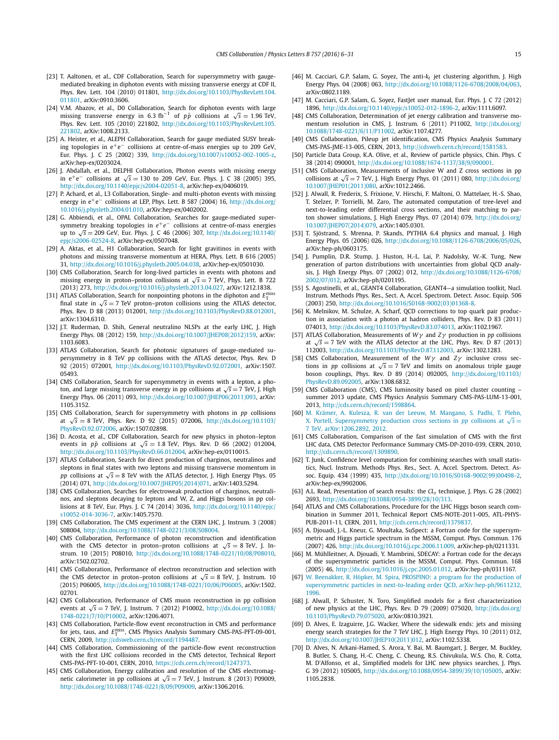- <span id="page-9-0"></span>[23] T. Aaltonen, et al., CDF Collaboration, Search for supersymmetry with gaugemediated breaking in diphoton events with missing transverse energy at CDF II, Phys. Rev. Lett. 104 (2010) 011801, [http://dx.doi.org/10.1103/PhysRevLett.104.](http://dx.doi.org/10.1103/PhysRevLett.104.011801) [011801,](http://dx.doi.org/10.1103/PhysRevLett.104.011801) arXiv:0910.3606.
- [24] V.M. Abazov, et al., D0 Collaboration, Search for diphoton events with large missing transverse energy in <sup>6</sup>*.*3 fb−<sup>1</sup> of *pp*¯ collisions at <sup>√</sup>*<sup>s</sup>* <sup>=</sup> <sup>1</sup>*.*96 TeV, Phys. Rev. Lett. 105 (2010) 221802, [http://dx.doi.org/10.1103/PhysRevLett.105.](http://dx.doi.org/10.1103/PhysRevLett.105.221802) [221802,](http://dx.doi.org/10.1103/PhysRevLett.105.221802) arXiv:1008.2133.
- [25] A. Heister, et al., ALEPH Collaboration, Search for gauge mediated SUSY breaking topologies in e<sup>+</sup>e<sup>−</sup> collisions at centre-of-mass energies up to 209 GeV, Eur. Phys. J. C 25 (2002) 339, <http://dx.doi.org/10.1007/s10052-002-1005-z>, arXiv:hep-ex/0203024.
- [26] I. Abdallah, et al., DELPHI Collaboration, Photon events with missing energy in <sup>e</sup>+e<sup>−</sup> collisions at <sup>√</sup>*<sup>s</sup>* <sup>=</sup> 130 to 209 GeV, Eur. Phys. J. <sup>C</sup> <sup>38</sup> (2005) 395, <http://dx.doi.org/10.1140/epjc/s2004-02051-8>, arXiv:hep-ex/0406019.
- [27] P. Achard, et al., L3 Collaboration, Single- and multi-photon events with missing energy in e<sup>+</sup>e<sup>−</sup> collisions at LEP, Phys. Lett. B 587 (2004) 16, [http://dx.doi.org/](http://dx.doi.org/10.1016/j.physletb.2004.01.010) [10.1016/j.physletb.2004.01.010](http://dx.doi.org/10.1016/j.physletb.2004.01.010), arXiv:hep-ex/0402002.
- [28] G. Abbiendi, et al., OPAL Collaboration, Searches for gauge-mediated supersymmetry breaking topologies in  $e^+e^-$  collisions at centre-of-mass energies up to  $\sqrt{s}$  = 209 GeV, Eur. Phys. J. C 46 (2006) 307, [http://dx.doi.org/10.1140/](http://dx.doi.org/10.1140/epjc/s2006-02524-8) [epjc/s2006-02524-8,](http://dx.doi.org/10.1140/epjc/s2006-02524-8) arXiv:hep-ex/0507048.
- [29] A. Aktas, et al., H1 Collaboration, Search for light gravitinos in events with photons and missing transverse momentum at HERA, Phys. Lett. B 616 (2005) 31, [http://dx.doi.org/10.1016/j.physletb.2005.04.038,](http://dx.doi.org/10.1016/j.physletb.2005.04.038) arXiv:hep-ex/0501030.
- [30] CMS Collaboration, Search for long-lived particles in events with photons and missing energy in proton–proton collisions at  $\sqrt{s} = 7$  TeV, Phys. Lett. B 722 (2013) 273, [http://dx.doi.org/10.1016/j.physletb.2013.04.027,](http://dx.doi.org/10.1016/j.physletb.2013.04.027) arXiv:1212.1838.
- [31] ATLAS Collaboration, Search for nonpointing photons in the diphoton and *E*miss T final state in  $\sqrt{s}$  = 7 TeV proton–proton collisions using the ATLAS detector, Phys. Rev. D 88 (2013) 012001, [http://dx.doi.org/10.1103/PhysRevD.88.012001,](http://dx.doi.org/10.1103/PhysRevD.88.012001) arXiv:1304.6310.
- [32] J.T. Ruderman, D. Shih, General neutralino NLSPs at the early LHC, J. High Energy Phys. 08 (2012) 159, [http://dx.doi.org/10.1007/JHEP08\(2012\)159,](http://dx.doi.org/10.1007/JHEP08(2012)159) arXiv: 1103.6083.
- [33] ATLAS Collaboration, Search for photonic signatures of gauge-mediated supersymmetry in 8 TeV pp collisions with the ATLAS detector, Phys. Rev. D 92 (2015) 072001, <http://dx.doi.org/10.1103/PhysRevD.92.072001>, arXiv:1507. 05493.
- [34] CMS Collaboration, Search for supersymmetry in events with a lepton, a photon, and large missing transverse energy in pp collisions at  $\sqrt{s} = 7$  TeV, J. High Energy Phys. 06 (2011) 093, [http://dx.doi.org/10.1007/JHEP06\(2011\)093](http://dx.doi.org/10.1007/JHEP06(2011)093), arXiv: 1105.3152.
- [35] CMS Collaboration, Search for supersymmetry with photons in *pp* collisions at  $\sqrt{s}$  = 8 TeV, Phys. Rev. D 92 (2015) 072006, [http://dx.doi.org/10.1103/](http://dx.doi.org/10.1103/PhysRevD.92.072006) [PhysRevD.92.072006](http://dx.doi.org/10.1103/PhysRevD.92.072006), arXiv:1507.02898.
- [36] D. Acosta, et al., CDF Collaboration, Search for new physics in photon–lepton events in  $p\bar{p}$  collisions at  $\sqrt{s} = 1.8$  TeV, Phys. Rev. D 66 (2002) 012004, <http://dx.doi.org/10.1103/PhysRevD.66.012004>, arXiv:hep-ex/0110015.
- [37] ATLAS Collaboration, Search for direct production of charginos, neutralinos and sleptons in final states with two leptons and missing transverse momentum in *pp* collisions at  $\sqrt{s} = 8$  TeV with the ATLAS detector, J. High Energy Phys. 05 (2014) 071, [http://dx.doi.org/10.1007/JHEP05\(2014\)071](http://dx.doi.org/10.1007/JHEP05(2014)071), arXiv:1403.5294.
- [38] CMS Collaboration, Searches for electroweak production of charginos, neutralinos, and sleptons decaying to leptons and W, Z, and Higgs bosons in pp collisions at 8 TeV, Eur. Phys. J. C 74 (2014) 3036, [http://dx.doi.org/10.1140/epjc/](http://dx.doi.org/10.1140/epjc/s10052-014-3036-7) [s10052-014-3036-7,](http://dx.doi.org/10.1140/epjc/s10052-014-3036-7) arXiv:1405.7570.
- [39] CMS Collaboration, The CMS experiment at the CERN LHC, J. Instrum. 3 (2008) S08004, <http://dx.doi.org/10.1088/1748-0221/3/08/S08004>.
- [40] CMS Collaboration, Performance of photon reconstruction and identification with the CMS detector in proton–proton collisions at  $\sqrt{s} = 8$  TeV, J. Instrum. 10 (2015) P08010, [http://dx.doi.org/10.1088/1748-0221/10/08/P08010,](http://dx.doi.org/10.1088/1748-0221/10/08/P08010) arXiv:1502.02702.
- [41] CMS Collaboration, Performance of electron reconstruction and selection with the CMS detector in proton–proton collisions at  $\sqrt{s} = 8$  TeV, J. Instrum. 10 (2015) P06005, <http://dx.doi.org/10.1088/1748-0221/10/06/P06005>, arXiv:1502. 02701.
- [42] CMS Collaboration, Performance of CMS muon reconstruction in pp collision events at <sup>√</sup>*<sup>s</sup>* <sup>=</sup> 7 TeV, J. Instrum. <sup>7</sup> (2012) P10002, [http://dx.doi.org/10.1088/](http://dx.doi.org/10.1088/1748-0221/7/10/P10002) [1748-0221/7/10/P10002](http://dx.doi.org/10.1088/1748-0221/7/10/P10002), arXiv:1206.4071.
- [43] CMS Collaboration, Particle-flow event reconstruction in CMS and performance for jets, taus, and  $E_{\rm T}^{\rm miss}$ , CMS Physics Analysis Summary CMS-PAS-PFT-09-001, CERN, 2009, [http://cdsweb.cern.ch/record/1194487.](http://cdsweb.cern.ch/record/1194487)
- [44] CMS Collaboration, Commissioning of the particle-flow event reconstruction with the first LHC collisions recorded in the CMS detector, Technical Report CMS-PAS-PFT-10-001, CERN, 2010, <https://cds.cern.ch/record/1247373>.
- [45] CMS Collaboration, Energy calibration and resolution of the CMS electromagnetic calorimeter in pp collisions at  $\sqrt{s}$  = 7 TeV, J. Instrum. 8 (2013) P09009, [http://dx.doi.org/10.1088/1748-0221/8/09/P09009,](http://dx.doi.org/10.1088/1748-0221/8/09/P09009) arXiv:1306.2016.
- [46] M. Cacciari, G.P. Salam, G. Soyez, The anti- $k_t$  jet clustering algorithm, J. High Energy Phys. 04 (2008) 063, [http://dx.doi.org/10.1088/1126-6708/2008/04/063,](http://dx.doi.org/10.1088/1126-6708/2008/04/063) arXiv:0802.1189.
- [47] M. Cacciari, G.P. Salam, G. Sovez, Fastlet user manual, Eur. Phys. J. C. 72 (2012). 1896, [http://dx.doi.org/10.1140/epjc/s10052-012-1896-2,](http://dx.doi.org/10.1140/epjc/s10052-012-1896-2) arXiv:1111.6097.
- [48] CMS Collaboration, Determination of jet energy calibration and transverse momentum resolution in CMS, J. Instrum. 6 (2011) P11002, [http://dx.doi.org/](http://dx.doi.org/10.1088/1748-0221/6/11/P11002) [10.1088/1748-0221/6/11/P11002](http://dx.doi.org/10.1088/1748-0221/6/11/P11002), arXiv:1107.4277.
- [49] CMS Collaboration, Pileup jet identification, CMS Physics Analysis Summary CMS-PAS-JME-13-005, CERN, 2013, [http://cdsweb.cern.ch/record/1581583.](http://cdsweb.cern.ch/record/1581583)
- [50] Particle Data Group, K.A. Olive, et al., Review of particle physics, Chin. Phys. C 38 (2014) 090001, [http://dx.doi.org/10.1088/1674-1137/38/9/090001.](http://dx.doi.org/10.1088/1674-1137/38/9/090001)
- [51] CMS Collaboration, Measurements of inclusive W and Z cross sections in pp collisions at  $\sqrt{s}$  = 7 TeV, J. High Energy Phys. 01 (2011) 080, [http://dx.doi.org/](http://dx.doi.org/10.1007/JHEP01(2011)080) [10.1007/JHEP01\(2011\)080](http://dx.doi.org/10.1007/JHEP01(2011)080), arXiv:1012.2466.
- [52] J. Alwall, R. Frederix, S. Frixione, V. Hirschi, F. Maltoni, O. Mattelaer, H.-S. Shao, T. Stelzer, P. Torrielli, M. Zaro, The automated computation of tree-level and next-to-leading order differential cross sections, and their matching to parton shower simulations, J. High Energy Phys. 07 (2014) 079, [http://dx.doi.org/](http://dx.doi.org/10.1007/JHEP07(2014)079) [10.1007/JHEP07\(2014\)079](http://dx.doi.org/10.1007/JHEP07(2014)079), arXiv:1405.0301.
- [53] T. Sjöstrand, S. Mrenna, P. Skands, PYTHIA 6.4 physics and manual, J. High Energy Phys. 05 (2006) 026, [http://dx.doi.org/10.1088/1126-6708/2006/05/026,](http://dx.doi.org/10.1088/1126-6708/2006/05/026) arXiv:hep-ph/0603175.
- [54] J. Pumplin, D.R. Stump, J. Huston, H.-L. Lai, P. Nadolsky, W.-K. Tung, New generation of parton distributions with uncertainties from global QCD analysis, J. High Energy Phys. 07 (2002) 012, [http://dx.doi.org/10.1088/1126-6708/](http://dx.doi.org/10.1088/1126-6708/2002/07/012) [2002/07/012,](http://dx.doi.org/10.1088/1126-6708/2002/07/012) arXiv:hep-ph/0201195.
- [55] S. Agostinelli, et al., GEANT4 Collaboration, GEANT4-a simulation toolkit, Nucl. Instrum. Methods Phys. Res., Sect. A, Accel. Spectrom. Detect. Assoc. Equip. 506 (2003) 250, [http://dx.doi.org/10.1016/S0168-9002\(03\)01368-8.](http://dx.doi.org/10.1016/S0168-9002(03)01368-8)
- [56] K. Melnikov, M. Schulze, A. Scharf, QCD corrections to top quark pair production in association with a photon at hadron colliders, Phys. Rev. D 83 (2011) 074013, <http://dx.doi.org/10.1103/PhysRevD.83.074013>, arXiv:1102.1967.
- [57] ATLAS Collaboration, Measurements of *W γ* and *Zγ* production in *pp* collisions at  $\sqrt{s}$  = 7 TeV with the ATLAS detector at the LHC, Phys. Rev. D 87 (2013) 112003, <http://dx.doi.org/10.1103/PhysRevD.87.112003>, arXiv:1302.1283.
- [58] CMS Collaboration, Measurement of the *Wγ* and *Zγ* inclusive cross sections in *pp* collisions at  $\sqrt{s} = 7$  TeV and limits on anomalous triple gauge boson couplings, Phys. Rev. D 89 (2014) 092005, [http://dx.doi.org/10.1103/](http://dx.doi.org/10.1103/PhysRevD.89.092005) [PhysRevD.89.092005](http://dx.doi.org/10.1103/PhysRevD.89.092005), arXiv:1308.6832.
- [59] CMS Collaboration (CMS), CMS luminosity based on pixel cluster counting summer 2013 update, CMS Physics Analysis Summary CMS-PAS-LUM-13-001, 2013, <http://cds.cern.ch/record/1598864>.
- [60] M. Krämer, A. Kulesza, R. van der Leeuw, M. [Mangano,](http://refhub.elsevier.com/S0370-2693(16)30010-7/bib4B72616D65723A323031326278s1) S. Padhi, T. Plehn, X. Portell, [Supersymmetry](http://refhub.elsevier.com/S0370-2693(16)30010-7/bib4B72616D65723A323031326278s1) production cross sections in *pp* collisions at  $\sqrt{s}$  = 7 TeV, [arXiv:1206.2892,](http://refhub.elsevier.com/S0370-2693(16)30010-7/bib4B72616D65723A323031326278s1) 2012.
- [61] CMS Collaboration, Comparison of the fast simulation of CMS with the first LHC data, CMS Detector Performance Summary CMS-DP-2010-039, CERN, 2010, [http://cds.cern.ch/record/1309890.](http://cds.cern.ch/record/1309890)
- [62] T. Junk, Confidence level computation for combining searches with small statistics, Nucl. Instrum. Methods Phys. Res., Sect. A, Accel. Spectrom. Detect. Assoc. Equip. 434 (1999) 435, [http://dx.doi.org/10.1016/S0168-9002\(99\)00498-2,](http://dx.doi.org/10.1016/S0168-9002(99)00498-2) arXiv:hep-ex/9902006.
- [63] A.L. Read, Presentation of search results: the CL<sub>s</sub> technique, J. Phys. G 28 (2002) 2693, <http://dx.doi.org/10.1088/0954-3899/28/10/313>.
- [64] ATLAS and CMS Collaborations, Procedure for the LHC Higgs boson search combination in Summer 2011, Technical Report CMS-NOTE-2011-005, ATL-PHYS-PUB-2011-11, CERN, 2011, <http://cds.cern.ch/record/1379837>.
- [65] A. Djouadi, J.-L. Kneur, G. Moultaka, SuSpect: a Fortran code for the supersymmetric and Higgs particle spectrum in the MSSM, Comput. Phys. Commun. 176 (2007) 426, [http://dx.doi.org/10.1016/j.cpc.2006.11.009,](http://dx.doi.org/10.1016/j.cpc.2006.11.009) arXiv:hep-ph/0211331.
- [66] M. Mühlleitner, A. Djouadi, Y. Mambrini, SDECAY: a Fortran code for the decays of the supersymmetric particles in the MSSM, Comput. Phys. Commun. 168 (2005) 46, [http://dx.doi.org/10.1016/j.cpc.2005.01.012,](http://dx.doi.org/10.1016/j.cpc.2005.01.012) arXiv:hep-ph/0311167.
- [67] W. Beenakker, R. Höpker, M. Spira, PROSPINO: a program for the [production](http://refhub.elsevier.com/S0370-2693(16)30010-7/bib4265656E616B6B65723A313939366564s1) of supersymmetric particles in next-to-leading order QCD, [arXiv:hep-ph/9611232,](http://refhub.elsevier.com/S0370-2693(16)30010-7/bib4265656E616B6B65723A313939366564s1) [1996.](http://refhub.elsevier.com/S0370-2693(16)30010-7/bib4265656E616B6B65723A313939366564s1)
- [68] J. Alwall, P. Schuster, N. Toro, Simplified models for a first characterization of new physics at the LHC, Phys. Rev. D 79 (2009) 075020, [http://dx.doi.org/](http://dx.doi.org/10.1103/PhysRevD.79.075020) [10.1103/PhysRevD.79.075020,](http://dx.doi.org/10.1103/PhysRevD.79.075020) arXiv:0810.3921.
- [69] D. Alves, E. Izaguirre, J.G. Wacker, Where the sidewalk ends: jets and missing energy search strategies for the 7 TeV LHC, J. High Energy Phys. 10 (2011) 012, [http://dx.doi.org/10.1007/JHEP10\(2011\)012,](http://dx.doi.org/10.1007/JHEP10(2011)012) arXiv:1102.5338.
- [70] D. Alves, N. Arkani-Hamed, S. Arora, Y. Bai, M. Baumgart, J. Berger, M. Buckley, B. Butler, S. Chang, H.-C. Cheng, C. Cheung, R.S. Chivukula, W.S. Cho, R. Cotta, M. D'Alfonso, et al., Simplified models for LHC new physics searches, J. Phys. G 39 (2012) 105005, <http://dx.doi.org/10.1088/0954-3899/39/10/105005>, arXiv: 1105.2838.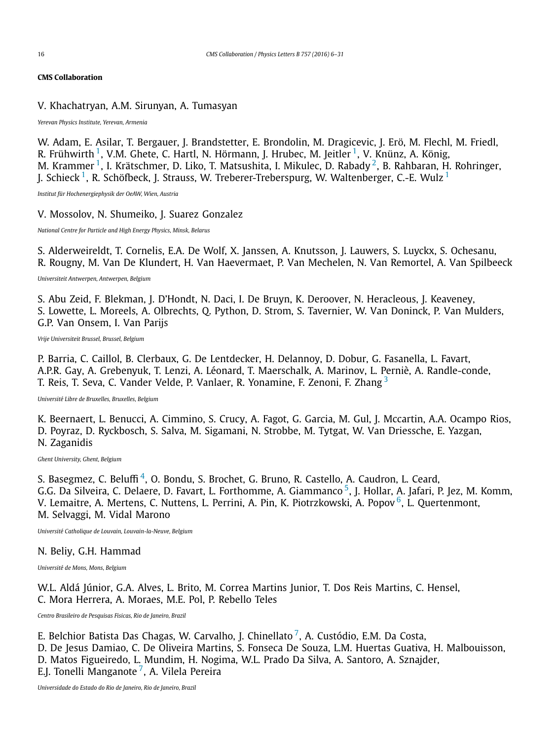### <span id="page-10-0"></span>**CMS Collaboration**

## V. Khachatryan, A.M. Sirunyan, A. Tumasyan

*Yerevan Physics Institute, Yerevan, Armenia*

W. Adam, E. Asilar, T. Bergauer, J. Brandstetter, E. Brondolin, M. Dragicevic, J. Erö, M. Flechl, M. Friedl, R. Frühwirth <sup>1</sup>, V.M. Ghete, C. Hartl, N. Hörmann, J. Hrubec, M. Jeitler <sup>1</sup>, V. Knünz, A. König, M. Krammer<sup>1</sup>, I. Krätschmer, D. Liko, T. Matsushita, I. Mikulec, D. Rabady<sup>2</sup>, B. Rahbaran, H. Rohringer, J. Schieck<sup>[1](#page-24-0)</sup>, R. Schöfbeck, J. Strauss, W. Treberer-Treberspurg, W. Waltenberger, C.-E. Wulz<sup>1</sup>

*Institut für Hochenergiephysik der OeAW, Wien, Austria*

## V. Mossolov, N. Shumeiko, J. Suarez Gonzalez

*National Centre for Particle and High Energy Physics, Minsk, Belarus*

S. Alderweireldt, T. Cornelis, E.A. De Wolf, X. Janssen, A. Knutsson, J. Lauwers, S. Luyckx, S. Ochesanu, R. Rougny, M. Van De Klundert, H. Van Haevermaet, P. Van Mechelen, N. Van Remortel, A. Van Spilbeeck

*Universiteit Antwerpen, Antwerpen, Belgium*

S. Abu Zeid, F. Blekman, J. D'Hondt, N. Daci, I. De Bruyn, K. Deroover, N. Heracleous, J. Keaveney, S. Lowette, L. Moreels, A. Olbrechts, Q. Python, D. Strom, S. Tavernier, W. Van Doninck, P. Van Mulders, G.P. Van Onsem, I. Van Parijs

*Vrije Universiteit Brussel, Brussel, Belgium*

P. Barria, C. Caillol, B. Clerbaux, G. De Lentdecker, H. Delannoy, D. Dobur, G. Fasanella, L. Favart, A.P.R. Gay, A. Grebenyuk, T. Lenzi, A. Léonard, T. Maerschalk, A. Marinov, L. Perniè, A. Randle-conde, T. Reis, T. Seva, C. Vander Velde, P. Vanlaer, R. Yonamine, F. Zenoni, F. Zhang [3](#page-24-0)

*Université Libre de Bruxelles, Bruxelles, Belgium*

K. Beernaert, L. Benucci, A. Cimmino, S. Crucy, A. Fagot, G. Garcia, M. Gul, J. Mccartin, A.A. Ocampo Rios, D. Poyraz, D. Ryckbosch, S. Salva, M. Sigamani, N. Strobbe, M. Tytgat, W. Van Driessche, E. Yazgan, N. Zaganidis

*Ghent University, Ghent, Belgium*

S. Basegmez, C. Beluffi<sup>4</sup>, O. Bondu, S. Brochet, G. Bruno, R. Castello, A. Caudron, L. Ceard, G.G. Da Silveira, C. Delaere, D. Favart, L. Forthomme, A. Giammanco<sup>[5](#page-24-0)</sup>, J. Hollar, A. Jafari, P. Jez, M. Komm, V. Lemaitre, A. Mertens, C. Nuttens, L. Perrini, A. Pin, K. Piotrzkowski, A. Popov [6,](#page-24-0) L. Quertenmont, M. Selvaggi, M. Vidal Marono

*Université Catholique de Louvain, Louvain-la-Neuve, Belgium*

### N. Beliy, G.H. Hammad

*Université de Mons, Mons, Belgium*

W.L. Aldá Júnior, G.A. Alves, L. Brito, M. Correa Martins Junior, T. Dos Reis Martins, C. Hensel, C. Mora Herrera, A. Moraes, M.E. Pol, P. Rebello Teles

*Centro Brasileiro de Pesquisas Fisicas, Rio de Janeiro, Brazil*

E. Belchior Batista Das Chagas, W. Carvalho, J. Chinellato<sup>7</sup>, A. Custódio, E.M. Da Costa, D. De Jesus Damiao, C. De Oliveira Martins, S. Fonseca De Souza, L.M. Huertas Guativa, H. Malbouisson, D. Matos Figueiredo, L. Mundim, H. Nogima, W.L. Prado Da Silva, A. Santoro, A. Sznajder, E.J. Tonelli Manganote<sup>7</sup>, A. Vilela Pereira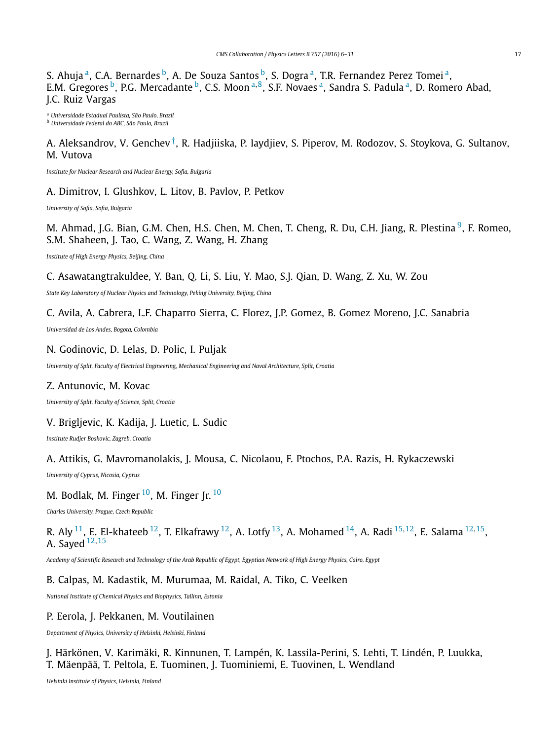S. Ahuja<sup>a</sup>, C.A. Bernardes <sup>b</sup>, A. De Souza Santos <sup>b</sup>, S. Dogra<sup>a</sup>, T.R. Fernandez Perez Tomei<sup>a</sup>, E.M. Gregores <sup>b</sup>, P.G. Mercadante <sup>b</sup>, C.S. Moon <sup>a, 8</sup>, S.F. Novaes <sup>a</sup>, Sandra S. Padula <sup>a</sup>, D. Romero Abad, J.C. Ruiz Vargas

<sup>a</sup> *Universidade Estadual Paulista, São Paulo, Brazil* <sup>b</sup> *Universidade Federal do ABC, São Paulo, Brazil*

## A. Aleksandrov, V. Genchev [†](#page-24-0), R. Hadjiiska, P. Iaydjiev, S. Piperov, M. Rodozov, S. Stoykova, G. Sultanov, M. Vutova

*Institute for Nuclear Research and Nuclear Energy, Sofia, Bulgaria*

## A. Dimitrov, I. Glushkov, L. Litov, B. Pavlov, P. Petkov

*University of Sofia, Sofia, Bulgaria*

M. Ahmad, J.G. Bian, G.M. Chen, H.S. Chen, M. Chen, T. Cheng, R. Du, C.H. Iiang, R. Plestina<sup>9</sup>. F. Romeo. S.M. Shaheen, J. Tao, C. Wang, Z. Wang, H. Zhang

*Institute of High Energy Physics, Beijing, China*

## C. Asawatangtrakuldee, Y. Ban, Q. Li, S. Liu, Y. Mao, S.J. Qian, D. Wang, Z. Xu, W. Zou

*State Key Laboratory of Nuclear Physics and Technology, Peking University, Beijing, China*

## C. Avila, A. Cabrera, L.F. Chaparro Sierra, C. Florez, J.P. Gomez, B. Gomez Moreno, J.C. Sanabria

*Universidad de Los Andes, Bogota, Colombia*

## N. Godinovic, D. Lelas, D. Polic, I. Puljak

*University of Split, Faculty of Electrical Engineering, Mechanical Engineering and Naval Architecture, Split, Croatia*

## Z. Antunovic, M. Kovac

*University of Split, Faculty of Science, Split, Croatia*

## V. Brigljevic, K. Kadija, J. Luetic, L. Sudic

*Institute Rudjer Boskovic, Zagreb, Croatia*

### A. Attikis, G. Mavromanolakis, J. Mousa, C. Nicolaou, F. Ptochos, P.A. Razis, H. Rykaczewski

*University of Cyprus, Nicosia, Cyprus*

## M. Bodlak, M. Finger  $10$ , M. Finger Jr.  $10$

*Charles University, Prague, Czech Republic*

## R. Aly [11,](#page-24-0) E. El-khateeb [12,](#page-24-0) T. Elkafrawy [12,](#page-24-0) A. Lotfy [13,](#page-24-0) A. Mohamed [14,](#page-24-0) A. Radi [15](#page-24-0)*,*[12,](#page-24-0) E. Salama [12](#page-24-0)*,*[15,](#page-24-0) A. Sayed [12](#page-24-0)*,*[15](#page-24-0)

Academy of Scientific Research and Technology of the Arab Republic of Egypt, Egyptian Network of High Energy Physics, Cairo, Egypt

### B. Calpas, M. Kadastik, M. Murumaa, M. Raidal, A. Tiko, C. Veelken

*National Institute of Chemical Physics and Biophysics, Tallinn, Estonia*

## P. Eerola, J. Pekkanen, M. Voutilainen

*Department of Physics, University of Helsinki, Helsinki, Finland*

J. Härkönen, V. Karimäki, R. Kinnunen, T. Lampén, K. Lassila-Perini, S. Lehti, T. Lindén, P. Luukka, T. Mäenpää, T. Peltola, E. Tuominen, J. Tuominiemi, E. Tuovinen, L. Wendland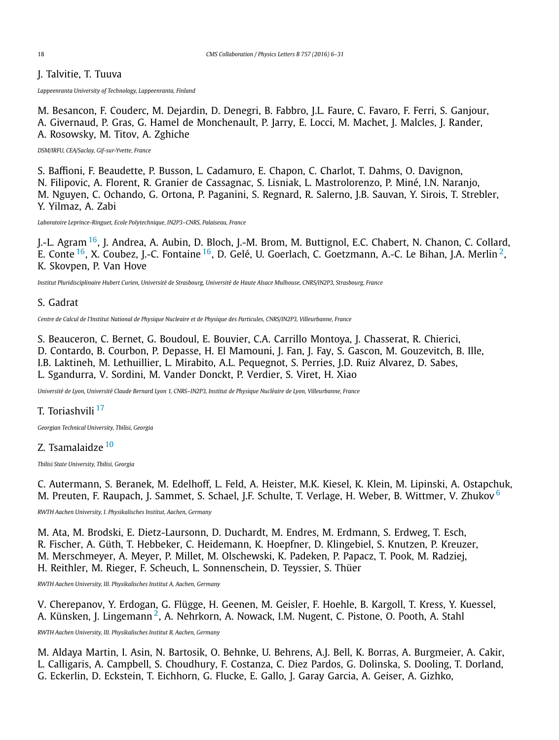## J. Talvitie, T. Tuuva

*Lappeenranta University of Technology, Lappeenranta, Finland*

M. Besancon, F. Couderc, M. Dejardin, D. Denegri, B. Fabbro, J.L. Faure, C. Favaro, F. Ferri, S. Ganjour, A. Givernaud, P. Gras, G. Hamel de Monchenault, P. Jarry, E. Locci, M. Machet, J. Malcles, J. Rander, A. Rosowsky, M. Titov, A. Zghiche

*DSM/IRFU, CEA/Saclay, Gif-sur-Yvette, France*

S. Baffioni, F. Beaudette, P. Busson, L. Cadamuro, E. Chapon, C. Charlot, T. Dahms, O. Davignon, N. Filipovic, A. Florent, R. Granier de Cassagnac, S. Lisniak, L. Mastrolorenzo, P. Miné, I.N. Naranjo, M. Nguyen, C. Ochando, G. Ortona, P. Paganini, S. Regnard, R. Salerno, J.B. Sauvan, Y. Sirois, T. Strebler, Y. Yilmaz, A. Zabi

*Laboratoire Leprince-Ringuet, Ecole Polytechnique, IN2P3–CNRS, Palaiseau, France*

J.-L. Agram <sup>16</sup>, J. Andrea, A. Aubin, D. Bloch, J.-M. Brom, M. Buttignol, E.C. Chabert, N. Chanon, C. Collard, E. Conte [16,](#page-24-0) X. Coubez, J.-C. Fontaine [16,](#page-24-0) D. Gelé, U. Goerlach, C. Goetzmann, A.-C. Le Bihan, J.A. Merlin [2,](#page-24-0) K. Skovpen, P. Van Hove

Institut Pluridisciplinaire Hubert Curien, Université de Strasbourg, Université de Haute Alsace Mulhouse, CNRS/IN2P3, Strasbourg, France

## S. Gadrat

Centre de Calcul de l'Institut National de Physique Nucleaire et de Physique des Particules, CNRS/IN2P3, Villeurbanne, France

S. Beauceron, C. Bernet, G. Boudoul, E. Bouvier, C.A. Carrillo Montoya, J. Chasserat, R. Chierici, D. Contardo, B. Courbon, P. Depasse, H. El Mamouni, J. Fan, J. Fay, S. Gascon, M. Gouzevitch, B. Ille, I.B. Laktineh, M. Lethuillier, L. Mirabito, A.L. Pequegnot, S. Perries, J.D. Ruiz Alvarez, D. Sabes, L. Sgandurra, V. Sordini, M. Vander Donckt, P. Verdier, S. Viret, H. Xiao

Université de Lyon, Université Claude Bernard Lyon 1, CNRS-IN2P3, Institut de Physique Nucléaire de Lyon, Villeurbanne, France

## T. Toriashvili [17](#page-24-0)

*Georgian Technical University, Tbilisi, Georgia*

## Z. Tsamalaidze [10](#page-24-0)

*Tbilisi State University, Tbilisi, Georgia*

C. Autermann, S. Beranek, M. Edelhoff, L. Feld, A. Heister, M.K. Kiesel, K. Klein, M. Lipinski, A. Ostapchuk, M. Preuten, F. Raupach, J. Sammet, S. Schael, J.F. Schulte, T. Verlage, H. Weber, B. Wittmer, V. Zhukov<sup>[6](#page-24-0)</sup>

*RWTH Aachen University, I. Physikalisches Institut, Aachen, Germany*

M. Ata, M. Brodski, E. Dietz-Laursonn, D. Duchardt, M. Endres, M. Erdmann, S. Erdweg, T. Esch, R. Fischer, A. Güth, T. Hebbeker, C. Heidemann, K. Hoepfner, D. Klingebiel, S. Knutzen, P. Kreuzer, M. Merschmeyer, A. Meyer, P. Millet, M. Olschewski, K. Padeken, P. Papacz, T. Pook, M. Radziej, H. Reithler, M. Rieger, F. Scheuch, L. Sonnenschein, D. Teyssier, S. Thüer

*RWTH Aachen University, III. Physikalisches Institut A, Aachen, Germany*

V. Cherepanov, Y. Erdogan, G. Flügge, H. Geenen, M. Geisler, F. Hoehle, B. Kargoll, T. Kress, Y. Kuessel, A. Künsken, J. Lingemann<sup>2</sup>, A. Nehrkorn, A. Nowack, I.M. Nugent, C. Pistone, O. Pooth, A. Stahl

*RWTH Aachen University, III. Physikalisches Institut B, Aachen, Germany*

M. Aldaya Martin, I. Asin, N. Bartosik, O. Behnke, U. Behrens, A.J. Bell, K. Borras, A. Burgmeier, A. Cakir, L. Calligaris, A. Campbell, S. Choudhury, F. Costanza, C. Diez Pardos, G. Dolinska, S. Dooling, T. Dorland, G. Eckerlin, D. Eckstein, T. Eichhorn, G. Flucke, E. Gallo, J. Garay Garcia, A. Geiser, A. Gizhko,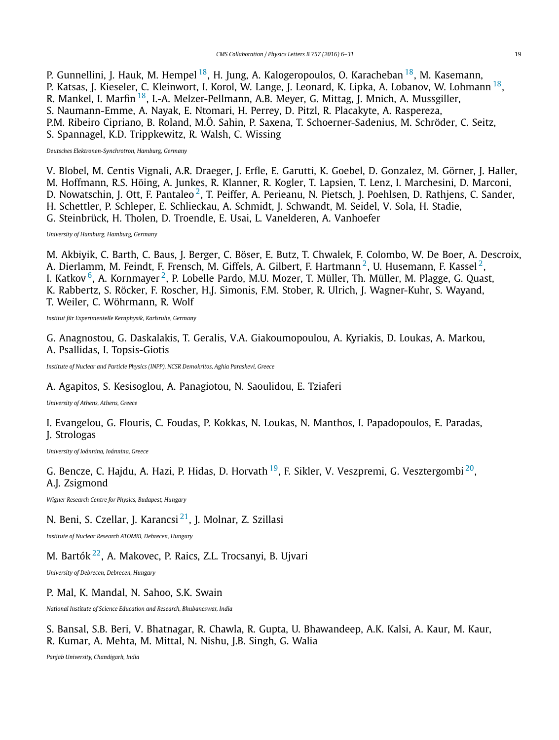P. Gunnellini, J. Hauk, M. Hempel<sup>18</sup>, H. Jung, A. Kalogeropoulos, O. Karacheban<sup>18</sup>, M. Kasemann, P. Katsas, J. Kieseler, C. Kleinwort, I. Korol, W. Lange, J. Leonard, K. Lipka, A. Lobanov, W. Lohmann [18,](#page-24-0) R. Mankel, I. Marfin <sup>18</sup>, I.-A. Melzer-Pellmann, A.B. Meyer, G. Mittag, J. Mnich, A. Mussgiller, S. Naumann-Emme, A. Nayak, E. Ntomari, H. Perrey, D. Pitzl, R. Placakyte, A. Raspereza, P.M. Ribeiro Cipriano, B. Roland, M.Ö. Sahin, P. Saxena, T. Schoerner-Sadenius, M. Schröder, C. Seitz, S. Spannagel, K.D. Trippkewitz, R. Walsh, C. Wissing

*Deutsches Elektronen-Synchrotron, Hamburg, Germany*

V. Blobel, M. Centis Vignali, A.R. Draeger, J. Erfle, E. Garutti, K. Goebel, D. Gonzalez, M. Görner, J. Haller, M. Hoffmann, R.S. Höing, A. Junkes, R. Klanner, R. Kogler, T. Lapsien, T. Lenz, I. Marchesini, D. Marconi, D. Nowatschin, J. Ott, F. Pantaleo<sup>2</sup>, T. Peiffer, A. Perieanu, N. Pietsch, J. Poehlsen, D. Rathjens, C. Sander, H. Schettler, P. Schleper, E. Schlieckau, A. Schmidt, J. Schwandt, M. Seidel, V. Sola, H. Stadie, G. Steinbrück, H. Tholen, D. Troendle, E. Usai, L. Vanelderen, A. Vanhoefer

*University of Hamburg, Hamburg, Germany*

M. Akbiyik, C. Barth, C. Baus, J. Berger, C. Böser, E. Butz, T. Chwalek, F. Colombo, W. De Boer, A. Descroix, A. Dierlamm, M. Feindt, F. Frensch, M. Giffels, A. Gilbert, F. Hartmann [2,](#page-24-0) U. Husemann, F. Kassel [2,](#page-24-0) I. Katkov<sup>6</sup>, A. Kornmayer<sup>2</sup>, P. Lobelle Pardo, M.U. Mozer, T. Müller, Th. Müller, M. Plagge, G. Quast, K. Rabbertz, S. Röcker, F. Roscher, H.J. Simonis, F.M. Stober, R. Ulrich, J. Wagner-Kuhr, S. Wayand, T. Weiler, C. Wöhrmann, R. Wolf

*Institut für Experimentelle Kernphysik, Karlsruhe, Germany*

G. Anagnostou, G. Daskalakis, T. Geralis, V.A. Giakoumopoulou, A. Kyriakis, D. Loukas, A. Markou, A. Psallidas, I. Topsis-Giotis

*Institute of Nuclear and Particle Physics (INPP), NCSR Demokritos, Aghia Paraskevi, Greece*

## A. Agapitos, S. Kesisoglou, A. Panagiotou, N. Saoulidou, E. Tziaferi

*University of Athens, Athens, Greece*

I. Evangelou, G. Flouris, C. Foudas, P. Kokkas, N. Loukas, N. Manthos, I. Papadopoulos, E. Paradas, J. Strologas

*University of Ioánnina, Ioánnina, Greece*

## G. Bencze, C. Hajdu, A. Hazi, P. Hidas, D. Horvath [19,](#page-24-0) F. Sikler, V. Veszpremi, G. Vesztergombi [20,](#page-24-0) A.J. Zsigmond

*Wigner Research Centre for Physics, Budapest, Hungary*

N. Beni, S. Czellar, J. Karancsi [21,](#page-24-0) J. Molnar, Z. Szillasi

*Institute of Nuclear Research ATOMKI, Debrecen, Hungary*

M. Bartók [22,](#page-24-0) A. Makovec, P. Raics, Z.L. Trocsanyi, B. Ujvari

*University of Debrecen, Debrecen, Hungary*

## P. Mal, K. Mandal, N. Sahoo, S.K. Swain

*National Institute of Science Education and Research, Bhubaneswar, India*

S. Bansal, S.B. Beri, V. Bhatnagar, R. Chawla, R. Gupta, U. Bhawandeep, A.K. Kalsi, A. Kaur, M. Kaur, R. Kumar, A. Mehta, M. Mittal, N. Nishu, J.B. Singh, G. Walia

*Panjab University, Chandigarh, India*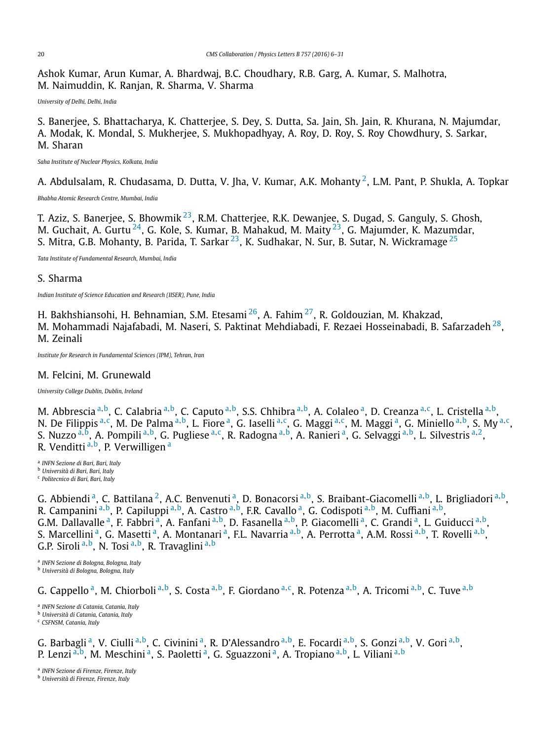Ashok Kumar, Arun Kumar, A. Bhardwaj, B.C. Choudhary, R.B. Garg, A. Kumar, S. Malhotra, M. Naimuddin, K. Ranjan, R. Sharma, V. Sharma

*University of Delhi, Delhi, India*

S. Banerjee, S. Bhattacharya, K. Chatterjee, S. Dey, S. Dutta, Sa. Jain, Sh. Jain, R. Khurana, N. Majumdar, A. Modak, K. Mondal, S. Mukherjee, S. Mukhopadhyay, A. Roy, D. Roy, S. Roy Chowdhury, S. Sarkar, M. Sharan

*Saha Institute of Nuclear Physics, Kolkata, India*

A. Abdulsalam, R. Chudasama, D. Dutta, V. Jha, V. Kumar, A.K. Mohanty<sup>2</sup>, L.M. Pant, P. Shukla, A. Topkar

*Bhabha Atomic Research Centre, Mumbai, India*

T. Aziz, S. Banerjee, S. Bhowmik  $^{23}$  $^{23}$  $^{23}$ , R.M. Chatterjee, R.K. Dewanjee, S. Dugad, S. Ganguly, S. Ghosh, M. Guchait, A. Gurtu  $^{24}$ , G. Kole, S. Kumar, B. Mahakud, M. Maity  $^{23}$ , G. Majumder, K. Mazumdar, S. Mitra, G.B. Mohanty, B. Parida, T. Sarkar<sup>[23](#page-24-0)</sup>, K. Sudhakar, N. Sur, B. Sutar, N. Wickramage<sup>[25](#page-24-0)</sup>

*Tata Institute of Fundamental Research, Mumbai, India*

## S. Sharma

*Indian Institute of Science Education and Research (IISER), Pune, India*

H. Bakhshiansohi, H. Behnamian, S.M. Etesami  $^{26}$ , A. Fahim  $^{27}$ , R. Goldouzian, M. Khakzad, M. Mohammadi Najafabadi, M. Naseri, S. Paktinat Mehdiabadi, F. Rezaei Hosseinabadi, B. Safarzadeh [28,](#page-24-0) M. Zeinali

*Institute for Research in Fundamental Sciences (IPM), Tehran, Iran*

## M. Felcini, M. Grunewald

*University College Dublin, Dublin, Ireland*

M. Abbrescia <sup>a</sup>*,*b, C. Calabria <sup>a</sup>*,*b, C. Caputo <sup>a</sup>*,*b, S.S. Chhibra <sup>a</sup>*,*b, A. Colaleo a, D. Creanza <sup>a</sup>*,*c, L. Cristella <sup>a</sup>*,*b, N. De Filippis <sup>a</sup>*,*c, M. De Palma <sup>a</sup>*,*b, L. Fiore a, G. Iaselli <sup>a</sup>*,*c, G. Maggi <sup>a</sup>*,*c, M. Maggi a, G. Miniello <sup>a</sup>*,*b, S. My <sup>a</sup>*,*c, S. Nuzzo <sup>a</sup>*,*b, A. Pompili <sup>a</sup>*,*b, G. Pugliese <sup>a</sup>*,*c, R. Radogna <sup>a</sup>*,*b, A. Ranieri a, G. Selvaggi <sup>a</sup>*,*b, L. Silvestris <sup>a</sup>*,*[2,](#page-24-0) R. Venditti <sup>a</sup>*,*b, P. Verwilligen <sup>a</sup>

<sup>a</sup> *INFN Sezione di Bari, Bari, Italy*

<sup>c</sup> *Politecnico di Bari, Bari, Italy*

G. Abbiendi a, C. Battilana [2,](#page-24-0) A.C. Benvenuti a, D. Bonacorsi <sup>a</sup>*,*b, S. Braibant-Giacomelli <sup>a</sup>*,*b, L. Brigliadori <sup>a</sup>*,*b, R. Campanini <sup>a</sup>*,*b, P. Capiluppi <sup>a</sup>*,*b, A. Castro <sup>a</sup>*,*b, F.R. Cavallo a, G. Codispoti <sup>a</sup>*,*b, M. Cuffiani <sup>a</sup>*,*b, G.M. Dallavalle <sup>a</sup>, F. Fabbri <sup>a</sup>, A. Fanfani <sup>a,b</sup>, D. Fasanella <sup>a,b</sup>, P. Giacomelli <sup>a</sup>, C. Grandi <sup>a</sup>, L. Guiducci <sup>a,b</sup>, S. Marcellini<sup>a</sup>, G. Masetti<sup>a</sup>, A. Montanari<sup>a</sup>, F.L. Navarria <sup>a, b</sup>, A. Perrotta <sup>a</sup>, A.M. Rossi <sup>a, b</sup>, T. Rovelli <sup>a, b</sup>, G.P. Siroli <sup>a</sup>*,*b, N. Tosi <sup>a</sup>*,*b, R. Travaglini <sup>a</sup>*,*<sup>b</sup>

<sup>a</sup> *INFN Sezione di Bologna, Bologna, Italy*

<sup>b</sup> *Università di Bologna, Bologna, Italy*

G. Cappello a, M. Chiorboli <sup>a</sup>*,*b, S. Costa <sup>a</sup>*,*b, F. Giordano <sup>a</sup>*,*c, R. Potenza <sup>a</sup>*,*b, A. Tricomi <sup>a</sup>*,*b, C. Tuve <sup>a</sup>*,*<sup>b</sup>

<sup>a</sup> *INFN Sezione di Catania, Catania, Italy*

<sup>b</sup> *Università di Catania, Catania, Italy*

<sup>c</sup> *CSFNSM, Catania, Italy*

G. Barbagli a, V. Ciulli <sup>a</sup>*,*b, C. Civinini a, R. D'Alessandro <sup>a</sup>*,*b, E. Focardi <sup>a</sup>*,*b, S. Gonzi <sup>a</sup>*,*b, V. Gori <sup>a</sup>*,*b, P. Lenzi <sup>a</sup>*,*b, M. Meschini a, S. Paoletti a, G. Sguazzoni a, A. Tropiano <sup>a</sup>*,*b, L. Viliani <sup>a</sup>*,*<sup>b</sup>

<sup>a</sup> *INFN Sezione di Firenze, Firenze, Italy*

<sup>b</sup> *Università di Firenze, Firenze, Italy*

<sup>b</sup> *Università di Bari, Bari, Italy*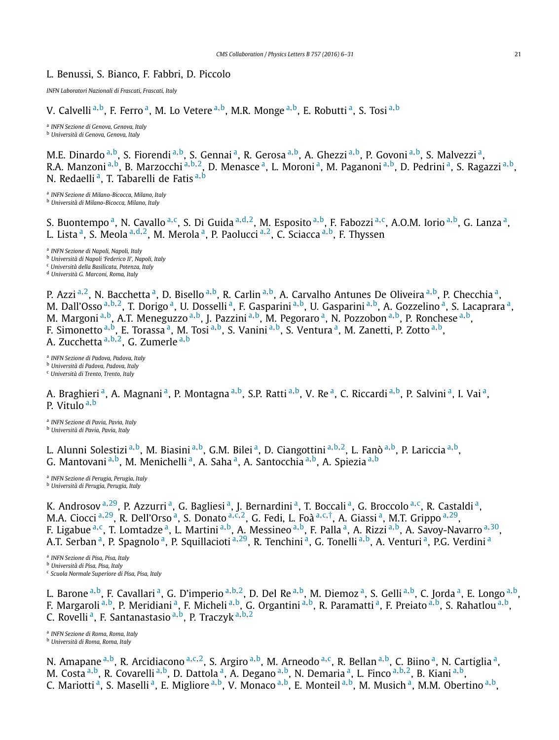## L. Benussi, S. Bianco, F. Fabbri, D. Piccolo

*INFN Laboratori Nazionali di Frascati, Frascati, Italy*

## V. Calvelli <sup>a</sup>*,*b, F. Ferro a, M. Lo Vetere <sup>a</sup>*,*b, M.R. Monge <sup>a</sup>*,*b, E. Robutti a, S. Tosi <sup>a</sup>*,*<sup>b</sup>

<sup>a</sup> *INFN Sezione di Genova, Genova, Italy* <sup>b</sup> *Università di Genova, Genova, Italy*

M.E. Dinardo <sup>a</sup>*,*b, S. Fiorendi <sup>a</sup>*,*b, S. Gennai a, R. Gerosa <sup>a</sup>*,*b, A. Ghezzi <sup>a</sup>*,*b, P. Govoni <sup>a</sup>*,*b, S. Malvezzi a, R.A. Manzoni <sup>a</sup>*,*b, B. Marzocchi <sup>a</sup>*,*b*,*[2,](#page-24-0) D. Menasce a, L. Moroni a, M. Paganoni <sup>a</sup>*,*b, D. Pedrini a, S. Ragazzi <sup>a</sup>*,*b, N. Redaelli a, T. Tabarelli de Fatis <sup>a</sup>*,*<sup>b</sup>

<sup>a</sup> *INFN Sezione di Milano-Bicocca, Milano, Italy*

<sup>b</sup> *Università di Milano-Bicocca, Milano, Italy*

S. Buontempo a, N. Cavallo <sup>a</sup>*,*c, S. Di Guida <sup>a</sup>*,*d*,*[2,](#page-24-0) M. Esposito <sup>a</sup>*,*b, F. Fabozzi <sup>a</sup>*,*c, A.O.M. Iorio <sup>a</sup>*,*b, G. Lanza a, L. Lista a, S. Meola <sup>a</sup>*,*d*,*[2,](#page-24-0) M. Merola a, P. Paolucci <sup>a</sup>*,*[2,](#page-24-0) C. Sciacca <sup>a</sup>*,*b, F. Thyssen

<sup>a</sup> *INFN Sezione di Napoli, Napoli, Italy*

<sup>b</sup> *Università di Napoli 'Federico II', Napoli, Italy*

<sup>c</sup> *Università della Basilicata, Potenza, Italy*

<sup>d</sup> *Università G. Marconi, Roma, Italy*

P. Azzi <sup>a</sup>*,*[2,](#page-24-0) N. Bacchetta a, D. Bisello <sup>a</sup>*,*b, R. Carlin <sup>a</sup>*,*b, A. Carvalho Antunes De Oliveira <sup>a</sup>*,*b, P. Checchia a, M. Dall'Osso a, b, [2,](#page-24-0) T. Dorigo a, U. Dosselli a, F. Gasparini a, b, U. Gasparini a, b, A. Gozzelino a, S. Lacaprara a, M. Margoni <sup>a</sup>*,*b, A.T. Meneguzzo <sup>a</sup>*,*b, J. Pazzini <sup>a</sup>*,*b, M. Pegoraro a, N. Pozzobon <sup>a</sup>*,*b, P. Ronchese <sup>a</sup>*,*b, F. Simonetto <sup>a</sup>*,*b, E. Torassa a, M. Tosi <sup>a</sup>*,*b, S. Vanini <sup>a</sup>*,*b, S. Ventura a, M. Zanetti, P. Zotto <sup>a</sup>*,*b, A. Zucchetta <sup>a</sup>*,*b*,*[2,](#page-24-0) G. Zumerle <sup>a</sup>*,*<sup>b</sup>

<sup>a</sup> *INFN Sezione di Padova, Padova, Italy*

<sup>b</sup> *Università di Padova, Padova, Italy*

<sup>c</sup> *Università di Trento, Trento, Italy*

A. Braghieri<sup>a</sup>, A. Magnani<sup>a</sup>, P. Montagna<sup>a,b</sup>, S.P. Ratti<sup>a,b</sup>, V. Re<sup>a</sup>, C. Riccardi<sup>a,b</sup>, P. Salvini<sup>a</sup>, I. Vai<sup>a</sup>, P. Vitulo <sup>a</sup>*,*<sup>b</sup>

<sup>a</sup> *INFN Sezione di Pavia, Pavia, Italy* <sup>b</sup> *Università di Pavia, Pavia, Italy*

L. Alunni Solestizi <sup>a</sup>*,*b, M. Biasini <sup>a</sup>*,*b, G.M. Bilei a, D. Ciangottini <sup>a</sup>*,*b*,*[2](#page-24-0), L. Fanò <sup>a</sup>*,*b, P. Lariccia <sup>a</sup>*,*b, G. Mantovani <sup>a</sup>*,*b, M. Menichelli a, A. Saha a, A. Santocchia <sup>a</sup>*,*b, A. Spiezia <sup>a</sup>*,*<sup>b</sup>

<sup>a</sup> *INFN Sezione di Perugia, Perugia, Italy* <sup>b</sup> *Università di Perugia, Perugia, Italy*

K. Androsov <sup>a, 29</sup>, P. Azzurri <sup>a</sup>, G. Bagliesi <sup>a</sup>, J. Bernardini <sup>a</sup>, T. Boccali <sup>a</sup>, G. Broccolo <sup>a, c</sup>, R. Castaldi <sup>a</sup>, M.A. Ciocci <sup>a</sup>*,*[29](#page-24-0), R. Dell'Orso a, S. Donato <sup>a</sup>*,*c*,*[2,](#page-24-0) G. Fedi, L. Foà <sup>a</sup>*,*c*,*[†,](#page-24-0) A. Giassi a, M.T. Grippo <sup>a</sup>*,*[29,](#page-24-0) F. Ligabue <sup>a</sup>*,*c, T. Lomtadze a, L. Martini <sup>a</sup>*,*b, A. Messineo <sup>a</sup>*,*b, F. Palla a, A. Rizzi <sup>a</sup>*,*b, A. Savoy-Navarro <sup>a</sup>*,*[30,](#page-24-0) A.T. Serban <sup>a</sup>, P. Spagnolo <sup>a</sup>, P. Squillacioti <sup>a, [29](#page-24-0)</sup>, R. Tenchini <sup>a</sup>, G. Tonelli a, b, A. Venturi a, P.G. Verdini a

<sup>a</sup> *INFN Sezione di Pisa, Pisa, Italy*

<sup>b</sup> *Università di Pisa, Pisa, Italy* <sup>c</sup> *Scuola Normale Superiore di Pisa, Pisa, Italy*

L. Barone <sup>a</sup>*,*b, F. Cavallari a, G. D'imperio <sup>a</sup>*,*b*,*[2,](#page-24-0) D. Del Re <sup>a</sup>*,*b, M. Diemoz a, S. Gelli <sup>a</sup>*,*b, C. Jorda a, E. Longo <sup>a</sup>*,*b, F. Margaroli <sup>a</sup>*,*b, P. Meridiani a, F. Micheli <sup>a</sup>*,*b, G. Organtini <sup>a</sup>*,*b, R. Paramatti a, F. Preiato <sup>a</sup>*,*b, S. Rahatlou <sup>a</sup>*,*b, C. Rovelli a, F. Santanastasio <sup>a</sup>*,*b, P. Traczyk <sup>a</sup>*,*b*,*[2](#page-24-0)

<sup>a</sup> *INFN Sezione di Roma, Roma, Italy* <sup>b</sup> *Università di Roma, Roma, Italy*

N. Amapane [a](#page-16-0)*,*[b,](#page-16-0) R. Arcidiacono [a](#page-16-0)*,*[c](#page-16-0)*,*[2,](#page-24-0) S. Argiro [a](#page-16-0)*,*[b,](#page-16-0) M. Arneodo [a](#page-16-0)*,*[c,](#page-16-0) R. Bellan [a](#page-16-0)*,*[b,](#page-16-0) C. Biino [a,](#page-16-0) N. Cartiglia [a,](#page-16-0) M. Costa [a](#page-16-0)*,*[b,](#page-16-0) R. Covarelli [a](#page-16-0)*,*[b,](#page-16-0) D. Dattola [a,](#page-16-0) A. Degano [a](#page-16-0)*,*[b,](#page-16-0) N. Demaria [a,](#page-16-0) L. Finco [a](#page-16-0)*,*[b](#page-16-0)*,*[2,](#page-24-0) B. Kiani [a](#page-16-0)*,*[b](#page-16-0), C. Mariotti [a,](#page-16-0) S. Maselli [a,](#page-16-0) E. Migliore [a](#page-16-0)*,*[b](#page-16-0), V. Monaco [a](#page-16-0)*,*[b,](#page-16-0) E. Monteil [a](#page-16-0)*,*[b,](#page-16-0) M. Musich [a,](#page-16-0) M.M. Obertino [a](#page-16-0)*,*[b,](#page-16-0)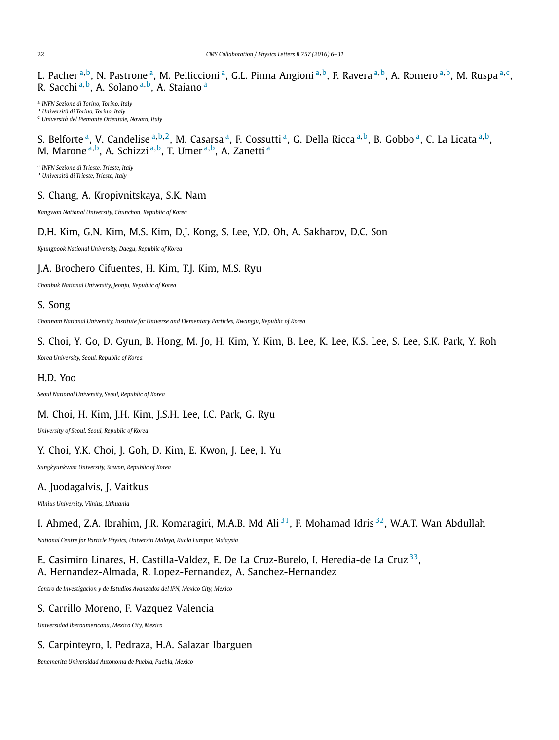<span id="page-16-0"></span>L. Pacher <sup>a</sup>*,*b, N. Pastrone a, M. Pelliccioni a, G.L. Pinna Angioni <sup>a</sup>*,*b, F. Ravera <sup>a</sup>*,*b, A. Romero <sup>a</sup>*,*b, M. Ruspa <sup>a</sup>*,*c, R. Sacchi <sup>a</sup>*,*b, A. Solano <sup>a</sup>*,*b, A. Staiano <sup>a</sup>

<sup>a</sup> *INFN Sezione di Torino, Torino, Italy*

<sup>b</sup> *Università di Torino, Torino, Italy* <sup>c</sup> *Università del Piemonte Orientale, Novara, Italy*

S. Belforte a, V. Candelise <sup>a</sup>*,*b*,*[2,](#page-24-0) M. Casarsa a, F. Cossutti a, G. Della Ricca <sup>a</sup>*,*b, B. Gobbo a, C. La Licata <sup>a</sup>*,*b, M. Marone <sup>a</sup>*,*b, A. Schizzi <sup>a</sup>*,*b, T. Umer <sup>a</sup>*,*b, A. Zanetti <sup>a</sup>

<sup>a</sup> *INFN Sezione di Trieste, Trieste, Italy* <sup>b</sup> *Università di Trieste, Trieste, Italy*

## S. Chang, A. Kropivnitskaya, S.K. Nam

*Kangwon National University, Chunchon, Republic of Korea*

## D.H. Kim, G.N. Kim, M.S. Kim, D.J. Kong, S. Lee, Y.D. Oh, A. Sakharov, D.C. Son

*Kyungpook National University, Daegu, Republic of Korea*

## J.A. Brochero Cifuentes, H. Kim, T.J. Kim, M.S. Ryu

*Chonbuk National University, Jeonju, Republic of Korea*

## S. Song

*Chonnam National University, Institute for Universe and Elementary Particles, Kwangju, Republic of Korea*

S. Choi, Y. Go, D. Gyun, B. Hong, M. Jo, H. Kim, Y. Kim, B. Lee, K. Lee, K.S. Lee, S. Lee, S.K. Park, Y. Roh

*Korea University, Seoul, Republic of Korea*

## H.D. Yoo

*Seoul National University, Seoul, Republic of Korea*

## M. Choi, H. Kim, J.H. Kim, J.S.H. Lee, I.C. Park, G. Ryu

*University of Seoul, Seoul, Republic of Korea*

## Y. Choi, Y.K. Choi, J. Goh, D. Kim, E. Kwon, J. Lee, I. Yu

*Sungkyunkwan University, Suwon, Republic of Korea*

## A. Juodagalvis, J. Vaitkus

*Vilnius University, Vilnius, Lithuania*

## I. Ahmed, Z.A. Ibrahim, J.R. Komaragiri, M.A.B. Md Ali  $31$ , F. Mohamad Idris  $32$ , W.A.T. Wan Abdullah

*National Centre for Particle Physics, Universiti Malaya, Kuala Lumpur, Malaysia*

## E. Casimiro Linares, H. Castilla-Valdez, E. De La Cruz-Burelo, I. Heredia-de La Cruz<sup>[33](#page-24-0)</sup>. A. Hernandez-Almada, R. Lopez-Fernandez, A. Sanchez-Hernandez

*Centro de Investigacion y de Estudios Avanzados del IPN, Mexico City, Mexico*

## S. Carrillo Moreno, F. Vazquez Valencia

*Universidad Iberoamericana, Mexico City, Mexico*

## S. Carpinteyro, I. Pedraza, H.A. Salazar Ibarguen

*Benemerita Universidad Autonoma de Puebla, Puebla, Mexico*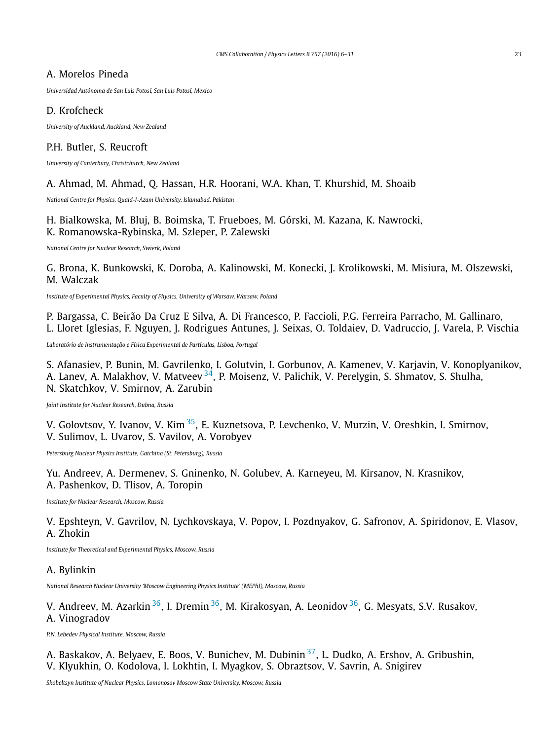## A. Morelos Pineda

*Universidad Autónoma de San Luis Potosí, San Luis Potosí, Mexico*

## D. Krofcheck

*University of Auckland, Auckland, New Zealand*

## P.H. Butler, S. Reucroft

*University of Canterbury, Christchurch, New Zealand*

## A. Ahmad, M. Ahmad, Q. Hassan, H.R. Hoorani, W.A. Khan, T. Khurshid, M. Shoaib

*National Centre for Physics, Quaid-I-Azam University, Islamabad, Pakistan*

H. Bialkowska, M. Bluj, B. Boimska, T. Frueboes, M. Górski, M. Kazana, K. Nawrocki, K. Romanowska-Rybinska, M. Szleper, P. Zalewski

*National Centre for Nuclear Research, Swierk, Poland*

G. Brona, K. Bunkowski, K. Doroba, A. Kalinowski, M. Konecki, J. Krolikowski, M. Misiura, M. Olszewski, M. Walczak

*Institute of Experimental Physics, Faculty of Physics, University of Warsaw, Warsaw, Poland*

P. Bargassa, C. Beirão Da Cruz E Silva, A. Di Francesco, P. Faccioli, P.G. Ferreira Parracho, M. Gallinaro, L. Lloret Iglesias, F. Nguyen, J. Rodrigues Antunes, J. Seixas, O. Toldaiev, D. Vadruccio, J. Varela, P. Vischia

*Laboratório de Instrumentação e Física Experimental de Partículas, Lisboa, Portugal*

S. Afanasiev, P. Bunin, M. Gavrilenko, I. Golutvin, I. Gorbunov, A. Kamenev, V. Karjavin, V. Konoplyanikov, A. Lanev, A. Malakhov, V. Matveev<sup>34</sup>, P. Moisenz, V. Palichik, V. Perelygin, S. Shmatov, S. Shulha, N. Skatchkov, V. Smirnov, A. Zarubin

*Joint Institute for Nuclear Research, Dubna, Russia*

V. Golovtsov, Y. Ivanov, V. Kim [35,](#page-24-0) E. Kuznetsova, P. Levchenko, V. Murzin, V. Oreshkin, I. Smirnov, V. Sulimov, L. Uvarov, S. Vavilov, A. Vorobyev

*Petersburg Nuclear Physics Institute, Gatchina (St. Petersburg), Russia*

Yu. Andreev, A. Dermenev, S. Gninenko, N. Golubev, A. Karneyeu, M. Kirsanov, N. Krasnikov, A. Pashenkov, D. Tlisov, A. Toropin

*Institute for Nuclear Research, Moscow, Russia*

V. Epshteyn, V. Gavrilov, N. Lychkovskaya, V. Popov, I. Pozdnyakov, G. Safronov, A. Spiridonov, E. Vlasov, A. Zhokin

*Institute for Theoretical and Experimental Physics, Moscow, Russia*

## A. Bylinkin

*National Research Nuclear University 'Moscow Engineering Physics Institute' (MEPhI), Moscow, Russia*

V. Andreev, M. Azarkin <sup>[36](#page-24-0)</sup>, I. Dremin <sup>36</sup>, M. Kirakosyan, A. Leonidov <sup>36</sup>, G. Mesyats, S.V. Rusakov, A. Vinogradov

*P.N. Lebedev Physical Institute, Moscow, Russia*

A. Baskakov, A. Belyaev, E. Boos, V. Bunichev, M. Dubinin [37,](#page-24-0) L. Dudko, A. Ershov, A. Gribushin, V. Klyukhin, O. Kodolova, I. Lokhtin, I. Myagkov, S. Obraztsov, V. Savrin, A. Snigirev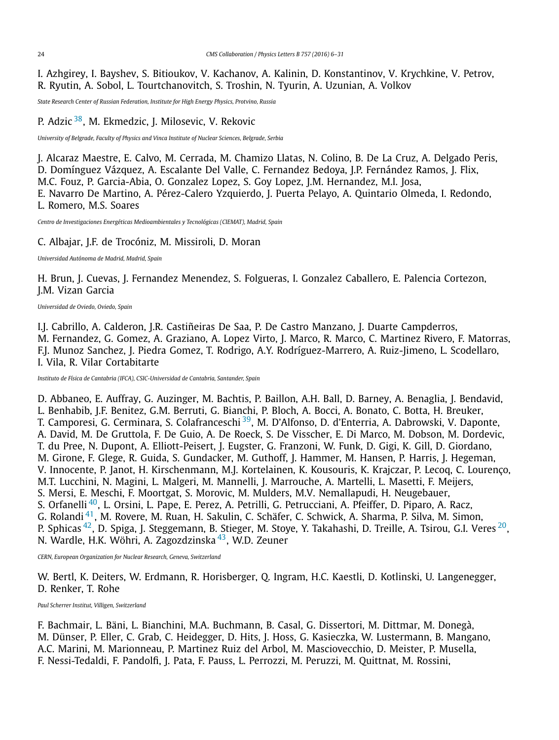I. Azhgirey, I. Bayshev, S. Bitioukov, V. Kachanov, A. Kalinin, D. Konstantinov, V. Krychkine, V. Petrov, R. Ryutin, A. Sobol, L. Tourtchanovitch, S. Troshin, N. Tyurin, A. Uzunian, A. Volkov

*State Research Center of Russian Federation, Institute for High Energy Physics, Protvino, Russia*

## P. Adzic [38,](#page-24-0) M. Ekmedzic, J. Milosevic, V. Rekovic

*University of Belgrade, Faculty of Physics and Vinca Institute of Nuclear Sciences, Belgrade, Serbia*

J. Alcaraz Maestre, E. Calvo, M. Cerrada, M. Chamizo Llatas, N. Colino, B. De La Cruz, A. Delgado Peris, D. Domínguez Vázquez, A. Escalante Del Valle, C. Fernandez Bedoya, J.P. Fernández Ramos, J. Flix, M.C. Fouz, P. Garcia-Abia, O. Gonzalez Lopez, S. Goy Lopez, J.M. Hernandez, M.I. Josa, E. Navarro De Martino, A. Pérez-Calero Yzquierdo, J. Puerta Pelayo, A. Quintario Olmeda, I. Redondo, L. Romero, M.S. Soares

*Centro de Investigaciones Energéticas Medioambientales y Tecnológicas (CIEMAT), Madrid, Spain*

## C. Albajar, J.F. de Trocóniz, M. Missiroli, D. Moran

*Universidad Autónoma de Madrid, Madrid, Spain*

H. Brun, J. Cuevas, J. Fernandez Menendez, S. Folgueras, I. Gonzalez Caballero, E. Palencia Cortezon, J.M. Vizan Garcia

*Universidad de Oviedo, Oviedo, Spain*

I.J. Cabrillo, A. Calderon, J.R. Castiñeiras De Saa, P. De Castro Manzano, J. Duarte Campderros, M. Fernandez, G. Gomez, A. Graziano, A. Lopez Virto, J. Marco, R. Marco, C. Martinez Rivero, F. Matorras, F.J. Munoz Sanchez, J. Piedra Gomez, T. Rodrigo, A.Y. Rodríguez-Marrero, A. Ruiz-Jimeno, L. Scodellaro, I. Vila, R. Vilar Cortabitarte

*Instituto de Física de Cantabria (IFCA), CSIC-Universidad de Cantabria, Santander, Spain*

D. Abbaneo, E. Auffray, G. Auzinger, M. Bachtis, P. Baillon, A.H. Ball, D. Barney, A. Benaglia, J. Bendavid, L. Benhabib, J.F. Benitez, G.M. Berruti, G. Bianchi, P. Bloch, A. Bocci, A. Bonato, C. Botta, H. Breuker, T. Camporesi, G. Cerminara, S. Colafranceschi<sup>39</sup>, M. D'Alfonso, D. d'Enterria, A. Dabrowski, V. Daponte, A. David, M. De Gruttola, F. De Guio, A. De Roeck, S. De Visscher, E. Di Marco, M. Dobson, M. Dordevic, T. du Pree, N. Dupont, A. Elliott-Peisert, J. Eugster, G. Franzoni, W. Funk, D. Gigi, K. Gill, D. Giordano, M. Girone, F. Glege, R. Guida, S. Gundacker, M. Guthoff, J. Hammer, M. Hansen, P. Harris, J. Hegeman, V. Innocente, P. Janot, H. Kirschenmann, M.J. Kortelainen, K. Kousouris, K. Krajczar, P. Lecoq, C. Lourenço, M.T. Lucchini, N. Magini, L. Malgeri, M. Mannelli, J. Marrouche, A. Martelli, L. Masetti, F. Meijers, S. Mersi, E. Meschi, F. Moortgat, S. Morovic, M. Mulders, M.V. Nemallapudi, H. Neugebauer, S. Orfanelli <sup>40</sup>, L. Orsini, L. Pape, E. Perez, A. Petrilli, G. Petrucciani, A. Pfeiffer, D. Piparo, A. Racz, G. Rolandi <sup>[41](#page-25-0)</sup>, M. Rovere, M. Ruan, H. Sakulin, C. Schäfer, C. Schwick, A. Sharma, P. Silva, M. Simon, P. Sphicas<sup>42</sup>, D. Spiga, J. Steggemann, B. Stieger, M. Stoye, Y. Takahashi, D. Treille, A. Tsirou, G.I. Veres <sup>20</sup>, N. Wardle, H.K. Wöhri, A. Zagozdzinska [43,](#page-25-0) W.D. Zeuner

*CERN, European Organization for Nuclear Research, Geneva, Switzerland*

W. Bertl, K. Deiters, W. Erdmann, R. Horisberger, Q. Ingram, H.C. Kaestli, D. Kotlinski, U. Langenegger, D. Renker, T. Rohe

*Paul Scherrer Institut, Villigen, Switzerland*

F. Bachmair, L. Bäni, L. Bianchini, M.A. Buchmann, B. Casal, G. Dissertori, M. Dittmar, M. Donegà, M. Dünser, P. Eller, C. Grab, C. Heidegger, D. Hits, J. Hoss, G. Kasieczka, W. Lustermann, B. Mangano, A.C. Marini, M. Marionneau, P. Martinez Ruiz del Arbol, M. Masciovecchio, D. Meister, P. Musella, F. Nessi-Tedaldi, F. Pandolfi, J. Pata, F. Pauss, L. Perrozzi, M. Peruzzi, M. Quittnat, M. Rossini,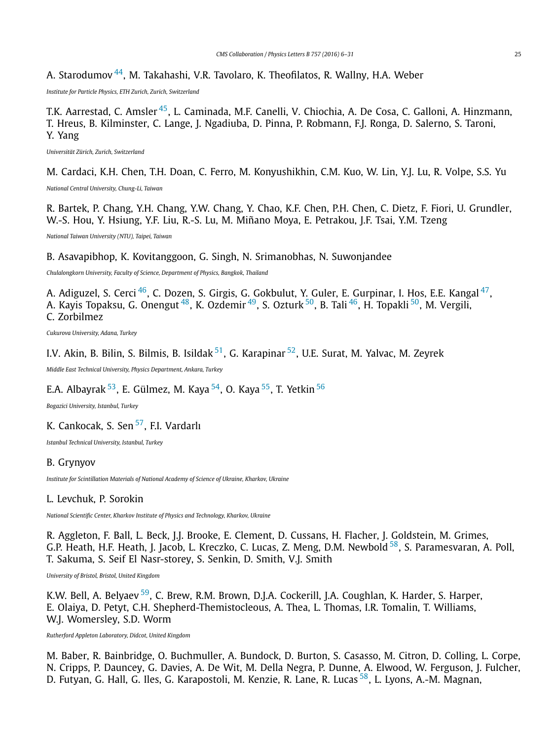## A. Starodumov [44,](#page-25-0) M. Takahashi, V.R. Tavolaro, K. Theofilatos, R. Wallny, H.A. Weber

*Institute for Particle Physics, ETH Zurich, Zurich, Switzerland*

T.K. Aarrestad, C. Amsler<sup>45</sup>, L. Caminada, M.F. Canelli, V. Chiochia, A. De Cosa, C. Galloni, A. Hinzmann, T. Hreus, B. Kilminster, C. Lange, J. Ngadiuba, D. Pinna, P. Robmann, F.J. Ronga, D. Salerno, S. Taroni, Y. Yang

*Universität Zürich, Zurich, Switzerland*

M. Cardaci, K.H. Chen, T.H. Doan, C. Ferro, M. Konyushikhin, C.M. Kuo, W. Lin, Y.J. Lu, R. Volpe, S.S. Yu

*National Central University, Chung-Li, Taiwan*

R. Bartek, P. Chang, Y.H. Chang, Y.W. Chang, Y. Chao, K.F. Chen, P.H. Chen, C. Dietz, F. Fiori, U. Grundler, W.-S. Hou, Y. Hsiung, Y.F. Liu, R.-S. Lu, M. Miñano Moya, E. Petrakou, J.F. Tsai, Y.M. Tzeng

*National Taiwan University (NTU), Taipei, Taiwan*

B. Asavapibhop, K. Kovitanggoon, G. Singh, N. Srimanobhas, N. Suwonjandee

*Chulalongkorn University, Faculty of Science, Department of Physics, Bangkok, Thailand*

A. Adiguzel, S. Cerci<sup>46</sup>, C. Dozen, S. Girgis, G. Gokbulut, Y. Guler, E. Gurpinar, I. Hos, E.E. Kangal<sup>[47](#page-25-0)</sup>, A. Kayis Topaksu, G. Onengut [48,](#page-25-0) K. Ozdemir [49,](#page-25-0) S. Ozturk [50,](#page-25-0) B. Tali [46,](#page-25-0) H. Topakli [50](#page-25-0), M. Vergili, C. Zorbilmez

*Cukurova University, Adana, Turkey*

## I.V. Akin, B. Bilin, S. Bilmis, B. Isildak  $51$ , G. Karapinar  $52$ , U.E. Surat, M. Yalvac, M. Zeyrek

*Middle East Technical University, Physics Department, Ankara, Turkey*

E.A. Albayrak  $^{53}$  $^{53}$  $^{53}$ , E. Gülmez, M. Kaya  $^{54}$ , O. Kaya  $^{55}$ , T. Yetkin  $^{56}$  $^{56}$  $^{56}$ 

*Bogazici University, Istanbul, Turkey*

## K. Cankocak, S. Sen<sup>57</sup>, F.I. Vardarlı

*Istanbul Technical University, Istanbul, Turkey*

## B. Grynyov

*Institute for Scintillation Materials of National Academy of Science of Ukraine, Kharkov, Ukraine*

L. Levchuk, P. Sorokin

*National Scientific Center, Kharkov Institute of Physics and Technology, Kharkov, Ukraine*

R. Aggleton, F. Ball, L. Beck, J.J. Brooke, E. Clement, D. Cussans, H. Flacher, J. Goldstein, M. Grimes, G.P. Heath, H.F. Heath, J. Jacob, L. Kreczko, C. Lucas, Z. Meng, D.M. Newbold <sup>58</sup>, S. Paramesvaran, A. Poll, T. Sakuma, S. Seif El Nasr-storey, S. Senkin, D. Smith, V.J. Smith

*University of Bristol, Bristol, United Kingdom*

K.W. Bell, A. Belyaev <sup>59</sup>, C. Brew, R.M. Brown, D.J.A. Cockerill, J.A. Coughlan, K. Harder, S. Harper, E. Olaiya, D. Petyt, C.H. Shepherd-Themistocleous, A. Thea, L. Thomas, I.R. Tomalin, T. Williams, W.J. Womersley, S.D. Worm

*Rutherford Appleton Laboratory, Didcot, United Kingdom*

M. Baber, R. Bainbridge, O. Buchmuller, A. Bundock, D. Burton, S. Casasso, M. Citron, D. Colling, L. Corpe, N. Cripps, P. Dauncey, G. Davies, A. De Wit, M. Della Negra, P. Dunne, A. Elwood, W. Ferguson, J. Fulcher, D. Futyan, G. Hall, G. Iles, G. Karapostoli, M. Kenzie, R. Lane, R. Lucas<sup>58</sup>, L. Lyons, A.-M. Magnan,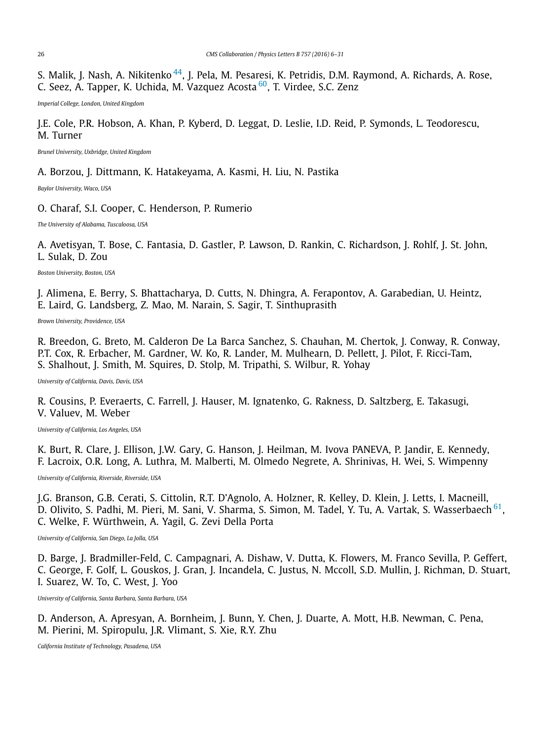S. Malik, J. Nash, A. Nikitenko <sup>44</sup>, J. Pela, M. Pesaresi, K. Petridis, D.M. Raymond, A. Richards, A. Rose, C. Seez, A. Tapper, K. Uchida, M. Vazquez Acosta [60,](#page-25-0) T. Virdee, S.C. Zenz

*Imperial College, London, United Kingdom*

J.E. Cole, P.R. Hobson, A. Khan, P. Kyberd, D. Leggat, D. Leslie, I.D. Reid, P. Symonds, L. Teodorescu, M. Turner

*Brunel University, Uxbridge, United Kingdom*

## A. Borzou, J. Dittmann, K. Hatakeyama, A. Kasmi, H. Liu, N. Pastika

*Baylor University, Waco, USA*

## O. Charaf, S.I. Cooper, C. Henderson, P. Rumerio

*The University of Alabama, Tuscaloosa, USA*

A. Avetisyan, T. Bose, C. Fantasia, D. Gastler, P. Lawson, D. Rankin, C. Richardson, J. Rohlf, J. St. John, L. Sulak, D. Zou

*Boston University, Boston, USA*

J. Alimena, E. Berry, S. Bhattacharya, D. Cutts, N. Dhingra, A. Ferapontov, A. Garabedian, U. Heintz, E. Laird, G. Landsberg, Z. Mao, M. Narain, S. Sagir, T. Sinthuprasith

*Brown University, Providence, USA*

R. Breedon, G. Breto, M. Calderon De La Barca Sanchez, S. Chauhan, M. Chertok, J. Conway, R. Conway, P.T. Cox, R. Erbacher, M. Gardner, W. Ko, R. Lander, M. Mulhearn, D. Pellett, J. Pilot, F. Ricci-Tam, S. Shalhout, J. Smith, M. Squires, D. Stolp, M. Tripathi, S. Wilbur, R. Yohay

*University of California, Davis, Davis, USA*

R. Cousins, P. Everaerts, C. Farrell, J. Hauser, M. Ignatenko, G. Rakness, D. Saltzberg, E. Takasugi, V. Valuev, M. Weber

*University of California, Los Angeles, USA*

K. Burt, R. Clare, J. Ellison, J.W. Gary, G. Hanson, J. Heilman, M. Ivova PANEVA, P. Jandir, E. Kennedy, F. Lacroix, O.R. Long, A. Luthra, M. Malberti, M. Olmedo Negrete, A. Shrinivas, H. Wei, S. Wimpenny

*University of California, Riverside, Riverside, USA*

J.G. Branson, G.B. Cerati, S. Cittolin, R.T. D'Agnolo, A. Holzner, R. Kelley, D. Klein, J. Letts, I. Macneill, D. Olivito, S. Padhi, M. Pieri, M. Sani, V. Sharma, S. Simon, M. Tadel, Y. Tu, A. Vartak, S. Wasserbaech <sup>[61](#page-25-0)</sup>, C. Welke, F. Würthwein, A. Yagil, G. Zevi Della Porta

*University of California, San Diego, La Jolla, USA*

D. Barge, J. Bradmiller-Feld, C. Campagnari, A. Dishaw, V. Dutta, K. Flowers, M. Franco Sevilla, P. Geffert, C. George, F. Golf, L. Gouskos, J. Gran, J. Incandela, C. Justus, N. Mccoll, S.D. Mullin, J. Richman, D. Stuart, I. Suarez, W. To, C. West, J. Yoo

*University of California, Santa Barbara, Santa Barbara, USA*

D. Anderson, A. Apresyan, A. Bornheim, J. Bunn, Y. Chen, J. Duarte, A. Mott, H.B. Newman, C. Pena, M. Pierini, M. Spiropulu, J.R. Vlimant, S. Xie, R.Y. Zhu

*California Institute of Technology, Pasadena, USA*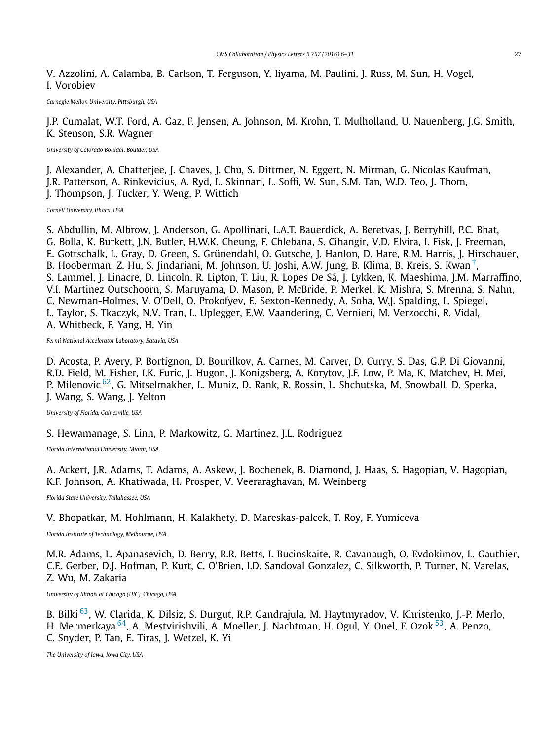V. Azzolini, A. Calamba, B. Carlson, T. Ferguson, Y. Iiyama, M. Paulini, J. Russ, M. Sun, H. Vogel, I. Vorobiev

*Carnegie Mellon University, Pittsburgh, USA*

J.P. Cumalat, W.T. Ford, A. Gaz, F. Jensen, A. Johnson, M. Krohn, T. Mulholland, U. Nauenberg, J.G. Smith, K. Stenson, S.R. Wagner

*University of Colorado Boulder, Boulder, USA*

J. Alexander, A. Chatterjee, J. Chaves, J. Chu, S. Dittmer, N. Eggert, N. Mirman, G. Nicolas Kaufman, J.R. Patterson, A. Rinkevicius, A. Ryd, L. Skinnari, L. Soffi, W. Sun, S.M. Tan, W.D. Teo, J. Thom, J. Thompson, J. Tucker, Y. Weng, P. Wittich

*Cornell University, Ithaca, USA*

S. Abdullin, M. Albrow, J. Anderson, G. Apollinari, L.A.T. Bauerdick, A. Beretvas, J. Berryhill, P.C. Bhat, G. Bolla, K. Burkett, J.N. Butler, H.W.K. Cheung, F. Chlebana, S. Cihangir, V.D. Elvira, I. Fisk, J. Freeman, E. Gottschalk, L. Gray, D. Green, S. Grünendahl, O. Gutsche, J. Hanlon, D. Hare, R.M. Harris, J. Hirschauer, B. Hooberman, Z. Hu, S. Jindariani, M. Johnson, U. Joshi, A.W. Jung, B. Klima, B. Kreis, S. Kwan<sup>†</sup>, S. Lammel, J. Linacre, D. Lincoln, R. Lipton, T. Liu, R. Lopes De Sá, J. Lykken, K. Maeshima, J.M. Marraffino, V.I. Martinez Outschoorn, S. Maruyama, D. Mason, P. McBride, P. Merkel, K. Mishra, S. Mrenna, S. Nahn, C. Newman-Holmes, V. O'Dell, O. Prokofyev, E. Sexton-Kennedy, A. Soha, W.J. Spalding, L. Spiegel, L. Taylor, S. Tkaczyk, N.V. Tran, L. Uplegger, E.W. Vaandering, C. Vernieri, M. Verzocchi, R. Vidal, A. Whitbeck, F. Yang, H. Yin

*Fermi National Accelerator Laboratory, Batavia, USA*

D. Acosta, P. Avery, P. Bortignon, D. Bourilkov, A. Carnes, M. Carver, D. Curry, S. Das, G.P. Di Giovanni, R.D. Field, M. Fisher, I.K. Furic, J. Hugon, J. Konigsberg, A. Korytov, J.F. Low, P. Ma, K. Matchev, H. Mei, P. Milenovic [62,](#page-25-0) G. Mitselmakher, L. Muniz, D. Rank, R. Rossin, L. Shchutska, M. Snowball, D. Sperka, J. Wang, S. Wang, J. Yelton

*University of Florida, Gainesville, USA*

S. Hewamanage, S. Linn, P. Markowitz, G. Martinez, J.L. Rodriguez

*Florida International University, Miami, USA*

A. Ackert, J.R. Adams, T. Adams, A. Askew, J. Bochenek, B. Diamond, J. Haas, S. Hagopian, V. Hagopian, K.F. Johnson, A. Khatiwada, H. Prosper, V. Veeraraghavan, M. Weinberg

*Florida State University, Tallahassee, USA*

V. Bhopatkar, M. Hohlmann, H. Kalakhety, D. Mareskas-palcek, T. Roy, F. Yumiceva

*Florida Institute of Technology, Melbourne, USA*

M.R. Adams, L. Apanasevich, D. Berry, R.R. Betts, I. Bucinskaite, R. Cavanaugh, O. Evdokimov, L. Gauthier, C.E. Gerber, D.J. Hofman, P. Kurt, C. O'Brien, I.D. Sandoval Gonzalez, C. Silkworth, P. Turner, N. Varelas, Z. Wu, M. Zakaria

*University of Illinois at Chicago (UIC), Chicago, USA*

B. Bilki<sup>63</sup>, W. Clarida, K. Dilsiz, S. Durgut, R.P. Gandrajula, M. Haytmyradov, V. Khristenko, J.-P. Merlo, H. Mermerkaya [64,](#page-25-0) A. Mestvirishvili, A. Moeller, J. Nachtman, H. Ogul, Y. Onel, F. Ozok [53,](#page-25-0) A. Penzo, C. Snyder, P. Tan, E. Tiras, J. Wetzel, K. Yi

*The University of Iowa, Iowa City, USA*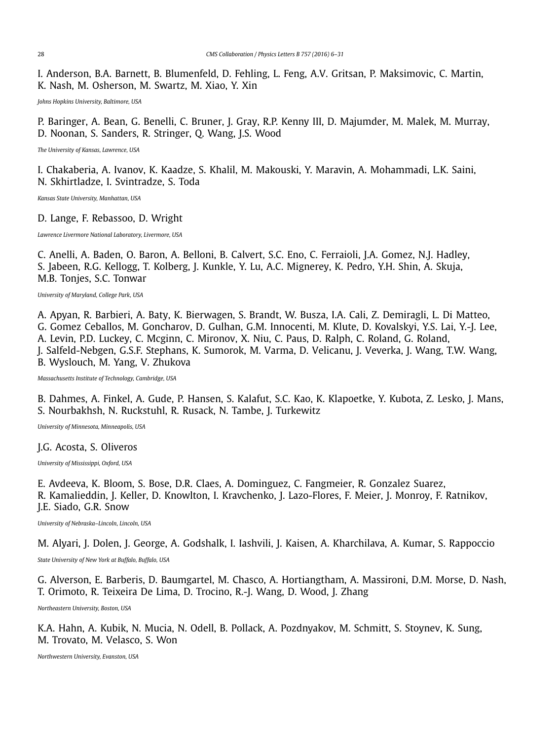I. Anderson, B.A. Barnett, B. Blumenfeld, D. Fehling, L. Feng, A.V. Gritsan, P. Maksimovic, C. Martin, K. Nash, M. Osherson, M. Swartz, M. Xiao, Y. Xin

*Johns Hopkins University, Baltimore, USA*

P. Baringer, A. Bean, G. Benelli, C. Bruner, J. Gray, R.P. Kenny III, D. Majumder, M. Malek, M. Murray, D. Noonan, S. Sanders, R. Stringer, Q. Wang, J.S. Wood

*The University of Kansas, Lawrence, USA*

I. Chakaberia, A. Ivanov, K. Kaadze, S. Khalil, M. Makouski, Y. Maravin, A. Mohammadi, L.K. Saini, N. Skhirtladze, I. Svintradze, S. Toda

*Kansas State University, Manhattan, USA*

D. Lange, F. Rebassoo, D. Wright

*Lawrence Livermore National Laboratory, Livermore, USA*

C. Anelli, A. Baden, O. Baron, A. Belloni, B. Calvert, S.C. Eno, C. Ferraioli, J.A. Gomez, N.J. Hadley, S. Jabeen, R.G. Kellogg, T. Kolberg, J. Kunkle, Y. Lu, A.C. Mignerey, K. Pedro, Y.H. Shin, A. Skuja, M.B. Tonjes, S.C. Tonwar

*University of Maryland, College Park, USA*

A. Apyan, R. Barbieri, A. Baty, K. Bierwagen, S. Brandt, W. Busza, I.A. Cali, Z. Demiragli, L. Di Matteo, G. Gomez Ceballos, M. Goncharov, D. Gulhan, G.M. Innocenti, M. Klute, D. Kovalskyi, Y.S. Lai, Y.-J. Lee, A. Levin, P.D. Luckey, C. Mcginn, C. Mironov, X. Niu, C. Paus, D. Ralph, C. Roland, G. Roland, J. Salfeld-Nebgen, G.S.F. Stephans, K. Sumorok, M. Varma, D. Velicanu, J. Veverka, J. Wang, T.W. Wang, B. Wyslouch, M. Yang, V. Zhukova

*Massachusetts Institute of Technology, Cambridge, USA*

B. Dahmes, A. Finkel, A. Gude, P. Hansen, S. Kalafut, S.C. Kao, K. Klapoetke, Y. Kubota, Z. Lesko, J. Mans, S. Nourbakhsh, N. Ruckstuhl, R. Rusack, N. Tambe, J. Turkewitz

*University of Minnesota, Minneapolis, USA*

J.G. Acosta, S. Oliveros

*University of Mississippi, Oxford, USA*

E. Avdeeva, K. Bloom, S. Bose, D.R. Claes, A. Dominguez, C. Fangmeier, R. Gonzalez Suarez, R. Kamalieddin, J. Keller, D. Knowlton, I. Kravchenko, J. Lazo-Flores, F. Meier, J. Monroy, F. Ratnikov, J.E. Siado, G.R. Snow

*University of Nebraska–Lincoln, Lincoln, USA*

M. Alyari, J. Dolen, J. George, A. Godshalk, I. Iashvili, J. Kaisen, A. Kharchilava, A. Kumar, S. Rappoccio

*State University of New York at Buffalo, Buffalo, USA*

G. Alverson, E. Barberis, D. Baumgartel, M. Chasco, A. Hortiangtham, A. Massironi, D.M. Morse, D. Nash, T. Orimoto, R. Teixeira De Lima, D. Trocino, R.-J. Wang, D. Wood, J. Zhang

*Northeastern University, Boston, USA*

K.A. Hahn, A. Kubik, N. Mucia, N. Odell, B. Pollack, A. Pozdnyakov, M. Schmitt, S. Stoynev, K. Sung, M. Trovato, M. Velasco, S. Won

*Northwestern University, Evanston, USA*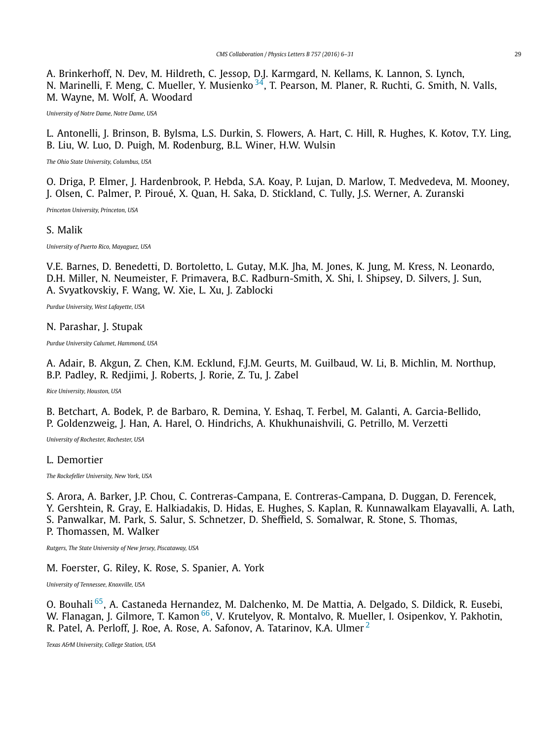A. Brinkerhoff, N. Dev, M. Hildreth, C. Jessop, D.J. Karmgard, N. Kellams, K. Lannon, S. Lynch, N. Marinelli, F. Meng, C. Mueller, Y. Musienko <sup>34</sup>, T. Pearson, M. Planer, R. Ruchti, G. Smith, N. Valls, M. Wayne, M. Wolf, A. Woodard

*University of Notre Dame, Notre Dame, USA*

L. Antonelli, J. Brinson, B. Bylsma, L.S. Durkin, S. Flowers, A. Hart, C. Hill, R. Hughes, K. Kotov, T.Y. Ling, B. Liu, W. Luo, D. Puigh, M. Rodenburg, B.L. Winer, H.W. Wulsin

*The Ohio State University, Columbus, USA*

O. Driga, P. Elmer, J. Hardenbrook, P. Hebda, S.A. Koay, P. Lujan, D. Marlow, T. Medvedeva, M. Mooney, J. Olsen, C. Palmer, P. Piroué, X. Quan, H. Saka, D. Stickland, C. Tully, J.S. Werner, A. Zuranski

*Princeton University, Princeton, USA*

## S. Malik

*University of Puerto Rico, Mayaguez, USA*

V.E. Barnes, D. Benedetti, D. Bortoletto, L. Gutay, M.K. Jha, M. Jones, K. Jung, M. Kress, N. Leonardo, D.H. Miller, N. Neumeister, F. Primavera, B.C. Radburn-Smith, X. Shi, I. Shipsey, D. Silvers, J. Sun, A. Svyatkovskiy, F. Wang, W. Xie, L. Xu, J. Zablocki

*Purdue University, West Lafayette, USA*

## N. Parashar, J. Stupak

*Purdue University Calumet, Hammond, USA*

A. Adair, B. Akgun, Z. Chen, K.M. Ecklund, F.J.M. Geurts, M. Guilbaud, W. Li, B. Michlin, M. Northup, B.P. Padley, R. Redjimi, J. Roberts, J. Rorie, Z. Tu, J. Zabel

*Rice University, Houston, USA*

B. Betchart, A. Bodek, P. de Barbaro, R. Demina, Y. Eshaq, T. Ferbel, M. Galanti, A. Garcia-Bellido, P. Goldenzweig, J. Han, A. Harel, O. Hindrichs, A. Khukhunaishvili, G. Petrillo, M. Verzetti

*University of Rochester, Rochester, USA*

## L. Demortier

*The Rockefeller University, New York, USA*

S. Arora, A. Barker, J.P. Chou, C. Contreras-Campana, E. Contreras-Campana, D. Duggan, D. Ferencek, Y. Gershtein, R. Gray, E. Halkiadakis, D. Hidas, E. Hughes, S. Kaplan, R. Kunnawalkam Elayavalli, A. Lath, S. Panwalkar, M. Park, S. Salur, S. Schnetzer, D. Sheffield, S. Somalwar, R. Stone, S. Thomas, P. Thomassen, M. Walker

*Rutgers, The State University of New Jersey, Piscataway, USA*

M. Foerster, G. Riley, K. Rose, S. Spanier, A. York

*University of Tennessee, Knoxville, USA*

O. Bouhali [65](#page-25-0), A. Castaneda Hernandez, M. Dalchenko, M. De Mattia, A. Delgado, S. Dildick, R. Eusebi, W. Flanagan, J. Gilmore, T. Kamon <sup>66</sup>, V. Krutelyov, R. Montalvo, R. Mueller, I. Osipenkov, Y. Pakhotin, R. Patel, A. Perloff, J. Roe, A. Rose, A. Safonov, A. Tatarinov, K.A. Ulmer  $2$ 

*Texas A&M University, College Station, USA*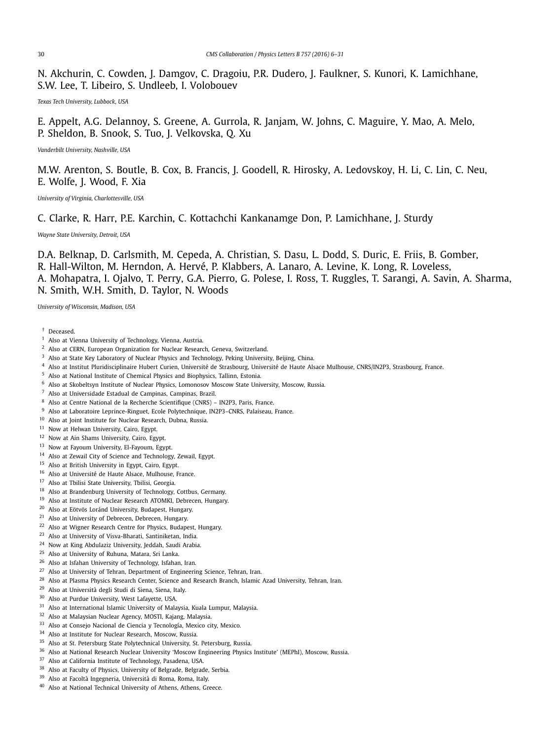<span id="page-24-0"></span>N. Akchurin, C. Cowden, J. Damgov, C. Dragoiu, P.R. Dudero, J. Faulkner, S. Kunori, K. Lamichhane, S.W. Lee, T. Libeiro, S. Undleeb, I. Volobouev

*Texas Tech University, Lubbock, USA*

E. Appelt, A.G. Delannoy, S. Greene, A. Gurrola, R. Janjam, W. Johns, C. Maguire, Y. Mao, A. Melo, P. Sheldon, B. Snook, S. Tuo, J. Velkovska, Q. Xu

*Vanderbilt University, Nashville, USA*

M.W. Arenton, S. Boutle, B. Cox, B. Francis, J. Goodell, R. Hirosky, A. Ledovskoy, H. Li, C. Lin, C. Neu, E. Wolfe, J. Wood, F. Xia

*University of Virginia, Charlottesville, USA*

C. Clarke, R. Harr, P.E. Karchin, C. Kottachchi Kankanamge Don, P. Lamichhane, J. Sturdy

*Wayne State University, Detroit, USA*

D.A. Belknap, D. Carlsmith, M. Cepeda, A. Christian, S. Dasu, L. Dodd, S. Duric, E. Friis, B. Gomber, R. Hall-Wilton, M. Herndon, A. Hervé, P. Klabbers, A. Lanaro, A. Levine, K. Long, R. Loveless, A. Mohapatra, I. Ojalvo, T. Perry, G.A. Pierro, G. Polese, I. Ross, T. Ruggles, T. Sarangi, A. Savin, A. Sharma, N. Smith, W.H. Smith, D. Taylor, N. Woods

*University of Wisconsin, Madison, USA*

- † Deceased.
- <sup>1</sup> Also at Vienna University of Technology, Vienna, Austria.
- <sup>2</sup> Also at CERN, European Organization for Nuclear Research, Geneva, Switzerland.
- <sup>3</sup> Also at State Key Laboratory of Nuclear Physics and Technology, Peking University, Beijing, China.
- <sup>4</sup> Also at Institut Pluridisciplinaire Hubert Curien, Université de Strasbourg, Université de Haute Alsace Mulhouse, CNRS/IN2P3, Strasbourg, France.
- <sup>5</sup> Also at National Institute of Chemical Physics and Biophysics, Tallinn, Estonia.
- <sup>6</sup> Also at Skobeltsyn Institute of Nuclear Physics, Lomonosov Moscow State University, Moscow, Russia.
- <sup>7</sup> Also at Universidade Estadual de Campinas, Campinas, Brazil.
- <sup>8</sup> Also at Centre National de la Recherche Scientifique (CNRS) IN2P3, Paris, France.
- <sup>9</sup> Also at Laboratoire Leprince-Ringuet, Ecole Polytechnique, IN2P3-CNRS, Palaiseau, France.
- <sup>10</sup> Also at Joint Institute for Nuclear Research, Dubna, Russia.
- 11 Now at Helwan University, Cairo, Egypt.
- <sup>12</sup> Now at Ain Shams University, Cairo, Egypt.
- <sup>13</sup> Now at Fayoum University, El-Fayoum, Egypt.
- <sup>14</sup> Also at Zewail City of Science and Technology, Zewail, Egypt.
- <sup>15</sup> Also at British University in Egypt, Cairo, Egypt.
- <sup>16</sup> Also at Université de Haute Alsace, Mulhouse, France.
- <sup>17</sup> Also at Tbilisi State University, Tbilisi, Georgia.
- <sup>18</sup> Also at Brandenburg University of Technology, Cottbus, Germany.
- <sup>19</sup> Also at Institute of Nuclear Research ATOMKI, Debrecen, Hungary.
- <sup>20</sup> Also at Eötvös Loránd University, Budapest, Hungary.
- <sup>21</sup> Also at University of Debrecen, Debrecen, Hungary.
- <sup>22</sup> Also at Wigner Research Centre for Physics, Budapest, Hungary.
- <sup>23</sup> Also at University of Visva-Bharati, Santiniketan, India.
- <sup>24</sup> Now at King Abdulaziz University, Jeddah, Saudi Arabia.
- <sup>25</sup> Also at University of Ruhuna, Matara, Sri Lanka.
- <sup>26</sup> Also at Isfahan University of Technology, Isfahan, Iran.
- $27$  Also at University of Tehran, Department of Engineering Science, Tehran, Iran.
- <sup>28</sup> Also at Plasma Physics Research Center, Science and Research Branch, Islamic Azad University, Tehran, Iran.
- <sup>29</sup> Also at Università degli Studi di Siena, Siena, Italy.
- <sup>30</sup> Also at Purdue University, West Lafayette, USA.
- <sup>31</sup> Also at International Islamic University of Malaysia, Kuala Lumpur, Malaysia.
- <sup>32</sup> Also at Malaysian Nuclear Agency, MOSTI, Kajang, Malaysia.
- <sup>33</sup> Also at Consejo Nacional de Ciencia y Tecnología, Mexico city, Mexico.
- <sup>34</sup> Also at Institute for Nuclear Research, Moscow, Russia.
- <sup>35</sup> Also at St. Petersburg State Polytechnical University, St. Petersburg, Russia.
- <sup>36</sup> Also at National Research Nuclear University 'Moscow Engineering Physics Institute' (MEPhI), Moscow, Russia.
- <sup>37</sup> Also at California Institute of Technology, Pasadena, USA.
- <sup>38</sup> Also at Faculty of Physics, University of Belgrade, Belgrade, Serbia.
- <sup>39</sup> Also at Facoltà Ingegneria, Università di Roma, Roma, Italy.
- <sup>40</sup> Also at National Technical University of Athens, Athens, Greece.